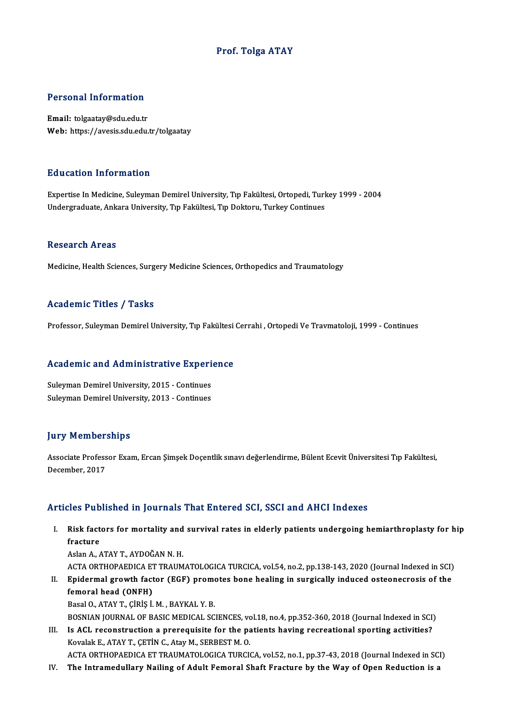### Prof. Tolga ATAY

### Personal Information

Email: tolgaatay@sdu.edu.tr Web: https://avesis.sdu.edu.tr/tolgaatay

### Education Information

Education Information<br>Expertise In Medicine, Suleyman Demirel University, Tıp Fakültesi, Ortopedi, Turkey 1999 - 2004<br>Undergraduate Ankara University, Tıp Fakültesi, Tıp Dekteru, Turkey Continues Luucution IIII of Inderon<br>Expertise In Medicine, Suleyman Demirel University, Tıp Fakültesi, Ortopedi, Turl<br>Undergraduate, Ankara University, Tıp Fakültesi, Tıp Doktoru, Turkey Continues Undergraduate, Ankara University, Tıp Fakültesi, Tıp Doktoru, Turkey Continues<br>Research Areas

Medicine, Health Sciences, Surgery Medicine Sciences, Orthopedics and Traumatology

### Academic Titles / Tasks

Professor, Suleyman Demirel University, Tıp Fakültesi Cerrahi , Ortopedi Ve Travmatoloji, 1999 - Continues

# Proiessor, suleyman Demirel University, Tip Fakultesi<br>Academic and Administrative Experience

**Academic and Administrative Experi<br>Suleyman Demirel University, 2015 - Continues<br>Suleyman Demirel University, 2013 - Continues** Suleyman Demirel University, 2015 - Continues<br>Suleyman Demirel University, 2013 - Continues

### **Jury Memberships**

Jury Memberships<br>Associate Professor Exam, Ercan Şimşek Doçentlik sınavı değerlendirme, Bülent Ecevit Üniversitesi Tıp Fakültesi,<br>Desambar, 2017 Associate Profess<br>December, 2017

# Articles Published in Journals That Entered SCI, SSCI and AHCI Indexes

- rticles Published in Journals That Entered SCI, SSCI and AHCI Indexes<br>I. Risk factors for mortality and survival rates in elderly patients undergoing hemiarthroplasty for hip<br>fracture Risk fact<br>fracture<br>Aslan A Risk factors for mortality and<br>fracture<br>Aslan A., ATAY T., AYDOĞAN N. H.<br>ACTA OPTHORAEDICA ET TRAIM fracture<br>Aslan A., ATAY T., AYDOĞAN N. H.<br>ACTA ORTHOPAEDICA ET TRAUMATOLOGICA TURCICA, vol.54, no.2, pp.138-143, 2020 (Journal Indexed in SCI)<br>Enidermal grouth factor (ECE) promotes bone bealing in surgicelly indused estec Aslan A., ATAY T., AYDOĞAN N. H.<br>ACTA ORTHOPAEDICA ET TRAUMATOLOGICA TURCICA, vol.54, no.2, pp.138-143, 2020 (Journal Indexed in SCI)<br>II. Epidermal growth factor (EGF) promotes bone healing in surgically induced osteonecro
- ACTA ORTHOPAEDICA ET<br>Epidermal growth fact<br>femoral head (ONFH)<br>Pessl O ATAV T Cipis i Epidermal growth factor (EGF) prome<br>femoral head (ONFH)<br>Basal O., ATAY T., ÇİRİŞ İ.M. , BAYKAL Y. B.<br>BOSNIAN JOUPNAL OF PASIC MEDICAL SC femoral head (ONFH)<br>Basal O., ATAY T., ÇİRİŞ İ. M. , BAYKAL Y. B.<br>BOSNIAN JOURNAL OF BASIC MEDICAL SCIENCES, vol.18, no.4, pp.352-360, 2018 (Journal Indexed in SCI)

Basal O., ATAY T., ÇİRİŞ İ. M. , BAYKAL Y. B.<br>BOSNIAN JOURNAL OF BASIC MEDICAL SCIENCES, vol.18, no.4, pp.352-360, 2018 (Journal Indexed in SCI)<br>III. Is ACL reconstruction a prerequisite for the patients having recreationa BOSNIAN JOURNAL OF BASIC MEDICAL SCIENCES, volto a construction a prerequisite for the party covalake., ATAY T., CETIN C., Atay M., SERBEST M. O. Is ACL reconstruction a prerequisite for the patients having recreational sporting activities?<br>Kovalak E., ATAY T., ÇETİN C., Atay M., SERBEST M. O.<br>ACTA ORTHOPAEDICA ET TRAUMATOLOGICA TURCICA, vol.52, no.1, pp.37-43, 2018 Kovalak E., ATAY T., ÇETİN C., Atay M., SERBEST M. O.<br>ACTA ORTHOPAEDICA ET TRAUMATOLOGICA TURCICA, vol.52, no.1, pp.37-43, 2018 (Journal Indexed in SCI)<br>IV. The Intramedullary Nailing of Adult Femoral Shaft Fracture by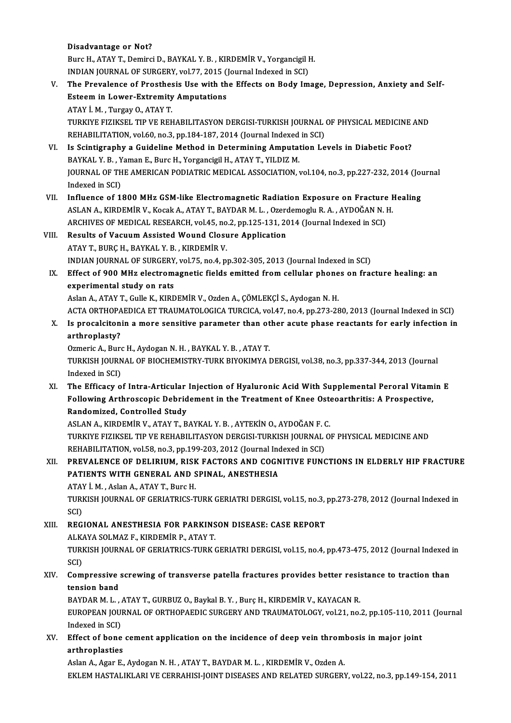### Disadvantage or Not?

Burc H., ATAY T., Demirci D., BAYKAL Y. B., KIRDEMİR V., Yorgancigil H. Disadvantage or Not?<br>Burc H., ATAY T., Demirci D., BAYKAL Y. B. , KIRDEMİR V., Yorgancigil I<br>INDIAN JOURNAL OF SURGERY, vol.77, 2015 (Journal Indexed in SCI)<br>The Brevelance of Presthesis Hee with the Effects on Body Im

### Burc H., ATAY T., Demirci D., BAYKAL Y. B. , KIRDEMİR V., Yorgancigil H.<br>INDIAN JOURNAL OF SURGERY, vol.77, 2015 (Journal Indexed in SCI)<br>V. The Prevalence of Prosthesis Use with the Effects on Body Image, Depression, Anxi INDIAN JOURNAL OF SURGERY, vol.77, 2015 (<br>The Prevalence of Prosthesis Use with the<br>Esteem in Lower-Extremity Amputations The Prevalence of Prosthes<br>Esteem in Lower-Extremity<br>ATAY İ.M., Turgay O., ATAY T.<br>TURKIVE EIZIKSEL TIR VE REL Esteem in Lower-Extremity Amputations<br>ATAY İ. M. , Turgay O., ATAY T.<br>TURKIYE FIZIKSEL TIP VE REHABILITASYON DERGISI-TURKISH JOURNAL OF PHYSICAL MEDICINE AND<br>REHABILITATION vel 60 no 3 nn 194 197 2014 (Journal Indoved in S

ATAY İ. M. , Turgay O., ATAY T.<br>TURKIYE FIZIKSEL TIP VE REHABILITASYON DERGISI-TURKISH JOURNAL<br>REHABILITATION, vol.60, no.3, pp.184-187, 2014 (Journal Indexed in SCI)<br>Is Scintigraphy a Guideline Method in Determining Amput REHABILITATION, vol.60, no.3, pp.184-187, 2014 (Journal Indexed in SCI)<br>VI. Is Scintigraphy a Guideline Method in Determining Amputation Levels in Diabetic Foot?

## REHABILITATION, vol.60, no.3, pp.184-187, 2014 (Journal Indexed<br>Is Scintigraphy a Guideline Method in Determining Amputat<br>BAYKAL Y. B., Yaman E., Burc H., Yorgancigil H., ATAY T., YILDIZ M.<br>JOUPMAL OF THE AMERICAN PODIATRI JOURNAL OF THE AMERICAN PODIATRIC MEDICAL ASSOCIATION, vol.104, no.3, pp.227-232, 2014 (Journal Indexed in SCI) BAYKAL Y. B. , Y<br>JOURNAL OF TH<br>Indexed in SCI)<br>Influence of 1

- VII. Influence of 1800 MHz GSM-like Electromagnetic Radiation Exposure on Fracture Healing Indexed in SCI)<br>Influence of 1800 MHz GSM-like Electromagnetic Radiation Exposure on Fracture I<br>ASLAN A., KIRDEMİR V., Kocak A., ATAY T., BAYDAR M. L. , Ozerdemoglu R. A. , AYDOĞAN N. H.<br>ARCHIVES OF MEDICAL PESEARCH .vel 4 Influence of 1800 MHz GSM-like Electromagnetic Radiation Exposure on Fracture<br>ASLAN A., KIRDEMİR V., Kocak A., ATAY T., BAYDAR M. L. , Ozerdemoglu R. A. , AYDOĞAN N. I<br>ARCHIVES OF MEDICAL RESEARCH, vol.45, no.2, pp.125-131 ASLAN A., KIRDEMİR V., Kocak A., ATAY T., BAYDAR M. L. , Ozero<br>ARCHIVES OF MEDICAL RESEARCH, vol.45, no.2, pp.125-131, 20<br>VIII. Results of Vacuum Assisted Wound Closure Application<br>ATAY T. BURC H. BAYKAL Y. B., KIRDEMİR V.
- ARCHIVES OF MEDICAL RESEARCH, vol.45, no.2, pp.125-131, 2014 (Journal Indexed in SCI)<br>Results of Vacuum Assisted Wound Closure Application<br>ATAY T., BURÇ H., BAYKAL Y. B. , KIRDEMİR V. INDIANJOURNALOF SURGERY,vol.75,no.4,pp.302-305,2013 (Journal Indexed inSCI) ATAY T., BURÇ H., BAYKAL Y. B. , KIRDEMIR V.<br>INDIAN JOURNAL OF SURGERY, vol.75, no.4, pp.302-305, 2013 (Journal Indexed in SCI)<br>IX. Effect of 900 MHz electromagnetic fields emitted from cellular phones on fracture healing:
- INDIAN JOURNAL OF SURGERY<br>Effect of 900 MHz electrom<br>experimental study on rats Effect of 900 MHz electromagnetic fields emitted from cellular phone<br>experimental study on rats<br>Aslan A., ATAY T., Gulle K., KIRDEMİR V., Ozden A., ÇÖMLEKÇİ S., Aydogan N. H.<br>ACTA OPTHOPAEDICA ET TRAJIMATOLOCICA TURCICA vo

experimental study on rats<br>Aslan A., ATAY T., Gulle K., KIRDEMİR V., Ozden A., ÇÖMLEKÇİ S., Aydogan N. H.<br>ACTA ORTHOPAEDICA ET TRAUMATOLOGICA TURCICA, vol.47, no.4, pp.273-280, 2013 (Journal Indexed in SCI) Aslan A., ATAY T., Gulle K., KIRDEMİR V., Ozden A., ÇÖMLEKÇİ S., Aydogan N. H.<br>ACTA ORTHOPAEDICA ET TRAUMATOLOGICA TURCICA, vol.47, no.4, pp.273-280, 2013 (Journal Indexed in SCI)<br>X. Is procalcitonin a more sensitive param

# ACTA ORTHOPA<br>Is procalciton<br>arthroplasty?<br>Ormeric A - Bur Is procalcitonin a more sensitive parameter than ot<br>arthroplasty?<br>Ozmeric A., Burc H., Aydogan N. H. , BAYKAL Y. B. , ATAY T.<br>TURKISH JOURNAL OF RIOCHEMISTRY TURK RIVOKIMYA I

arthroplasty?<br>Ozmeric A., Burc H., Aydogan N. H. , BAYKAL Y. B. , ATAY T.<br>TURKISH JOURNAL OF BIOCHEMISTRY-TURK BIYOKIMYA DERGISI, vol.38, no.3, pp.337-344, 2013 (Journal<br>Indexed in SCD. Ozmeric A., Buro<br>TURKISH JOURN<br>Indexed in SCI)<br>The Efficacy o

XI. The Efficacy of Intra-Articular Injection of Hyaluronic AcidWith Supplemental Peroral Vitamin E Indexed in SCI)<br>The Efficacy of Intra-Articular Injection of Hyaluronic Acid With Supplemental Peroral Vitam<br>Following Arthroscopic Debridement in the Treatment of Knee Osteoarthritis: A Prospective,<br>Pendemiged, Centrelled The Efficacy of Intra-Articular<br>Following Arthroscopic Debrid<br>Randomized, Controlled Study<br>ASLANA, EURDEMIR V. ATAVT, P Following Arthroscopic Debridement in the Treatment of Knee Oste<br>Randomized, Controlled Study<br>ASLAN A., KIRDEMİR V., ATAY T., BAYKAL Y. B. , AYTEKİN O., AYDOĞAN F. C.<br>TURKIYE EIZIKSEL TIR VE REHARU ITASYON DERCISI TURKISH

Randomized, Controlled Study<br>ASLAN A., KIRDEMİR V., ATAY T., BAYKAL Y. B. , AYTEKİN O., AYDOĞAN F. C.<br>TURKIYE FIZIKSEL TIP VE REHABILITASYON DERGISI-TURKISH JOURNAL OF PHYSICAL MEDICINE AND<br>REHABILITATION vel 58 no 3 np 19 ASLAN A., KIRDEMİR V., ATAY T., BAYKAL Y. B. , AYTEKİN O., AYDOĞAN F. (<br>TURKIYE FIZIKSEL TIP VE REHABILITASYON DERGISI-TURKISH JOURNAL<br>REHABILITATION, vol.58, no.3, pp.199-203, 2012 (Journal Indexed in SCI)<br>PREVALENCE OF D TURKIYE FIZIKSEL TIP VE REHABILITASYON DERGISI-TURKISH JOURNAL OF PHYSICAL MEDICINE AND<br>REHABILITATION, vol.58, no.3, pp.199-203, 2012 (Journal Indexed in SCI)<br>XII. PREVALENCE OF DELIRIUM, RISK FACTORS AND COGNITIVE FUNCTI

# REHABILITATION, vol58, no.3, pp.199-203, 2012 (Journal Inc<br>PREVALENCE OF DELIRIUM, RISK FACTORS AND COGN<br>PATIENTS WITH GENERAL AND SPINAL, ANESTHESIA PREVALENCE OF DELIRIUM, RISK<br>PATIENTS WITH GENERAL AND S<br>ATAY İ.M., Aslan A., ATAY T., Burc H.<br>TURKIY JOURNAL OF GERIATRICS T

PATIENTS WITH GENERAL AND SPINAL, ANESTHESIA<br>ATAY İ. M. , Aslan A., ATAY T., Burc H.<br>TURKISH JOURNAL OF GERIATRICS-TURK GERIATRI DERGISI, vol.15, no.3, pp.273-278, 2012 (Journal Indexed in<br>SCD ATA!<br>TURI<br>SCI)<br>PEC TURKISH JOURNAL OF GERIATRICS-TURK GERIATRI DERGISI, vol.15, no.3, J<br>SCI)<br>XIII. REGIONAL ANESTHESIA FOR PARKINSON DISEASE: CASE REPORT<br>ALKAYA SOLMAZE, KIRDEMIR R. 4TAY T

SCI)<br>REGIONAL ANESTHESIA FOR PARKINS<br>ALKAYA SOLMAZ F., KIRDEMİR P., ATAY T.<br>TURKISH JOURNAL OF GERIATRICS TURK ( REGIONAL ANESTHESIA FOR PARKINSON DISEASE: CASE REPORT<br>ALKAYA SOLMAZ F., KIRDEMİR P., ATAY T.<br>TURKISH JOURNAL OF GERIATRICS-TURK GERIATRI DERGISI, vol.15, no.4, pp.473-475, 2012 (Journal Indexed in<br>SCD ALK<br>TURI<br>SCI)<br>Com

## TURKISH JOURNAL OF GERIATRICS-TURK GERIATRI DERGISI, vol.15, no.4, pp.473-475, 2012 (Journal Indexed<br>SCI)<br>XIV. Compressive screwing of transverse patella fractures provides better resistance to traction than<br>tension band SCI)<br>Compressive<br>tension band<br>PAVDAR M. L Compressive screwing of transverse patella fractures provides better resistension band<br>tension band<br>BAYDAR M. L. , ATAY T., GURBUZ O., Baykal B. Y. , Burç H., KIRDEMİR V., KAYACAN R.<br>FUROPEAN JOURNAL OF ORTHORAEDIC SURCERY

tension band<br>BAYDAR M. L. , ATAY T., GURBUZ O., Baykal B. Y. , Burç H., KIRDEMİR V., KAYACAN R.<br>EUROPEAN JOURNAL OF ORTHOPAEDIC SURGERY AND TRAUMATOLOGY, vol.21, no.2, pp.105-110, 2011 (Journal<br>Indoved in SCL) BAYDAR M. L. , ,<br>EUROPEAN JOU!<br>Indexed in SCI)<br>Effect of bone EUROPEAN JOURNAL OF ORTHOPAEDIC SURGERY AND TRAUMATOLOGY, vol.21, no.2, pp.105-110, 20:<br>Indexed in SCI)<br>XV. Effect of bone cement application on the incidence of deep vein thrombosis in major joint<br>arthroplatics

Indexed in SCI)<br>Effect of bone<br>arthroplasties<br>Aslan A Asan E Effect of bone cement application on the incidence of deep vein throm<br>arthroplasties<br>Aslan A., Agar E., Aydogan N. H. , ATAY T., BAYDAR M. L. , KIRDEMİR V., Ozden A.<br>EKLEM HASTALIKLARLIK GERRAHISLIQINT DISEASES AND RELATED

arthroplasties<br>Aslan A., Agar E., Aydogan N. H. , ATAY T., BAYDAR M. L. , KIRDEMİR V., Ozden A.<br>EKLEM HASTALIKLARI VE CERRAHISI-JOINT DISEASES AND RELATED SURGERY, vol.22, no.3, pp.149-154, 2011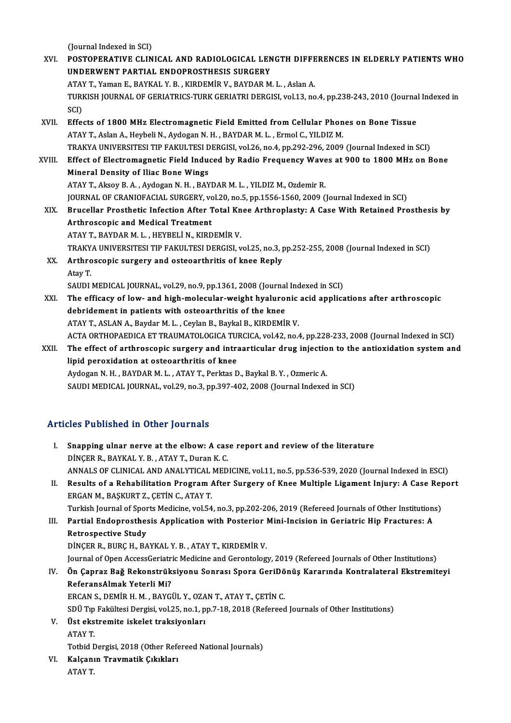(Journal Indexed in SCI)

(Journal Indexed in SCI)<br>XVI. POSTOPERATIVE CLINICAL AND RADIOLOGICAL LENGTH DIFFERENCES IN ELDERLY PATIENTS WHO<br>IINDERWENT RARTIAL ENDORROSTHESIS SURCERY (Journal Indexed in SCI)<br>POSTOPERATIVE CLINICAL AND RADIOLOGICAL LEN<br>UNDERWENT PARTIAL ENDOPROSTHESIS SURGERY<br>ATAVT Yoman E. BAYKAL V. B., KIRDEMIR V. BAYDAR M POSTOPERATIVE CLINICAL AND RADIOLOGICAL LENGTH DIFFE<br>UNDERWENT PARTIAL ENDOPROSTHESIS SURGERY<br>ATAY T., Yaman E., BAYKAL Y. B. , KIRDEMÌR V., BAYDAR M. L. , Aslan A.<br>TURKISH JOURNAL OF GERIATRICS TURK GERIATRI DERGISL VALL2 UNDERWENT PARTIAL ENDOPROSTHESIS SURGERY<br>ATAY T., Yaman E., BAYKAL Y. B. , KIRDEMİR V., BAYDAR M. L. , Aslan A.<br>TURKISH JOURNAL OF GERIATRICS-TURK GERIATRI DERGISI, vol.13, no.4, pp.238-243, 2010 (Journal Indexed in<br>SCD ATA!<br>TURI<br>SCI)<br>Effe: TURKISH JOURNAL OF GERIATRICS-TURK GERIATRI DERGISI, vol.13, no.4, pp.238-243, 2010 (Journal<br>SCI)<br>XVII. Effects of 1800 MHz Electromagnetic Field Emitted from Cellular Phones on Bone Tissue<br>ATAV T. Aslan A. Haubeli N. Audo SCI)<br>Effects of 1800 MHz Electromagnetic Field Emitted from Cellular Phon<br>ATAY T., Aslan A., Heybeli N., Aydogan N. H. , BAYDAR M. L. , Ermol C., YILDIZ M.<br>TRAKYA UNIVERSITESI TIR FAKULTESI DERGISI vol 26 no.4 nn 292 296 2 ATAY T., Aslan A., Heybeli N., Aydogan N. H. , BAYDAR M. L. , Ermol C., YILDIZ M.<br>TRAKYA UNIVERSITESI TIP FAKULTESI DERGISI, vol.26, no.4, pp.292-296, 2009 (Journal Indexed in SCI) ATAY T., Aslan A., Heybeli N., Aydogan N. H. , BAYDAR M. L. , Ermol C., YILDIZ M.<br>TRAKYA UNIVERSITESI TIP FAKULTESI DERGISI, vol.26, no.4, pp.292-296, 2009 (Journal Indexed in SCI)<br>XVIII. Effect of Electromagnetic Field In TRAKYA UNIVERSITESI TIP FAKULTESI D<br>Effect of Electromagnetic Field Indue<br>Mineral Density of Iliac Bone Wings<br>ATAV T. Alsou B. A. Audesan N. H. BAV Effect of Electromagnetic Field Induced by Radio Frequency Wave<br>Mineral Density of Iliac Bone Wings<br>ATAY T., Aksoy B. A. , Aydogan N. H. , BAYDAR M. L. , YILDIZ M., Ozdemir R.<br>JOUPMAL OF CRANIOFACIAL SURCERY .vol.20, no 5, Mineral Density of Iliac Bone Wings<br>ATAY T., Aksoy B. A. , Aydogan N. H. , BAYDAR M. L. , YILDIZ M., Ozdemir R.<br>JOURNAL OF CRANIOFACIAL SURGERY, vol.20, no.5, pp.1556-1560, 2009 (Journal Indexed in SCI) ATAY T., Aksoy B. A. , Aydogan N. H. , BAYDAR M. L. , YILDIZ M., Ozdemir R.<br>JOURNAL OF CRANIOFACIAL SURGERY, vol.20, no.5, pp.1556-1560, 2009 (Journal Indexed in SCI)<br>XIX. Brucellar Prosthetic Infection After Total Kne **JOURNAL OF CRANIOFACIAL SURGERY, volution**<br>Brucellar Prosthetic Infection After T<br>Arthroscopic and Medical Treatment<br>ATAV T. PAVDAR M. L. HEVPELLN, KIPD Brucellar Prosthetic Infection After Total Kn<br>Arthroscopic and Medical Treatment<br>ATAY T., BAYDAR M. L. , HEYBELİ N., KIRDEMİR V.<br>TRAKVA UNIVERSITESI TIR FAKULTESI DERÇISI Arthroscopic and Medical Treatment<br>ATAY T., BAYDAR M. L. , HEYBELİ N., KIRDEMİR V.<br>TRAKYA UNIVERSITESI TIP FAKULTESI DERGISI, vol.25, no.3, pp.252-255, 2008 (Journal Indexed in SCI) ATAY T., BAYDAR M. L. , HEYBELİ N., KIRDEMİR V.<br>TRAKYA UNIVERSITESI TIP FAKULTESI DERGISI, vol.25, no.3, <sub>I</sub><br>XX. Arthroscopic surgery and osteoarthritis of knee Reply TRAKY.<br><mark>Arthro</mark><br>Atay T. Arthroscopic surgery and osteoarthritis of knee Reply<br>Atay T.<br>SAUDI MEDICAL JOURNAL, vol.29, no.9, pp.1361, 2008 (Journal Indexed in SCI)<br>The efficesy of low, and high melecular weight hypluponis esid ennlise Atay T.<br>SAUDI MEDICAL JOURNAL, vol.29, no.9, pp.1361, 2008 (Journal Indexed in SCI)<br>XXI. The efficacy of low- and high-molecular-weight hyaluronic acid applications after arthroscopic<br>debridement in patients with osteoarth SAUDI MEDICAL JOURNAL, vol.29, no.9, pp.1361, 2008 (Journal<br>The efficacy of low- and high-molecular-weight hyalurol<br>debridement in patients with osteoarthritis of the knee ATAY T., ASLAN A., Baydar M. L., Ceylan B., Baykal B., KIRDEMİR V. debridement in patients with osteoarthritis of the knee<br>ATAY T., ASLAN A., Baydar M. L. , Ceylan B., Baykal B., KIRDEMİR V.<br>ACTA ORTHOPAEDICA ET TRAUMATOLOGICA TURCICA, vol.42, no.4, pp.228-233, 2008 (Journal Indexed in SC ATAY T., ASLAN A., Baydar M. L. , Ceylan B., Baykal B., KIRDEMİR V.<br>ACTA ORTHOPAEDICA ET TRAUMATOLOGICA TURCICA, vol.42, no.4, pp.228-233, 2008 (Journal Indexed in SCI)<br>XXII. The effect of arthroscopic surgery and intraart ACTA ORTHOPAEDICA ET TRAUMATOLOGICA TUI<br>The effect of arthroscopic surgery and intra<br>lipid peroxidation at osteoarthritis of knee<br>Aydogan N H - PAYDAP M L - ATAY T- Perktas D The effect of arthroscopic surgery and intraarticular drug injection to the antioxidation system and<br>lipid peroxidation at osteoarthritis of knee<br>Aydogan N. H. , BAYDAR M. L. , ATAY T., Perktas D., Baykal B. Y. , Ozmeric A SAUDI MEDICAL JOURNAL, vol.29, no.3, pp.397-402, 2008 (Journal Indexed in SCI)

### Articles Published in Other Journals

- Thicles Published in Other Journals<br>I. Snapping ulnar nerve at the elbow: A case report and review of the literature<br>RINCER B BAYKALY B ATAY T. Duran K G Shapping ulhar nerve at the elbow: A cas<br>DINÇER R., BAYKAL Y.B., ATAY T., Duran K.C.<br>ANNALS OF CLINICAL AND ANALYTICAL MED DİNÇER R., BAYKAL Y. B. , ATAY T., Duran K. C.<br>ANNALS OF CLINICAL AND ANALYTICAL MEDICINE, vol.11, no.5, pp.536-539, 2020 (Journal Indexed in ESCI) DINÇER R., BAYKAL Y. B. , ATAY T., Duran K. C.<br>ANNALS OF CLINICAL AND ANALYTICAL MEDICINE, vol.11, no.5, pp.536-539, 2020 (Journal Indexed in ESCI)<br>II. Results of a Rehabilitation Program After Surgery of Knee Multiple Lig ANNALS OF CLINICAL AND ANALYTICAL<br>Results of a Rehabilitation Program A<br>ERGAN M., BAŞKURT Z., ÇETİN C., ATAY T.<br>Turkich Journal of Sports Medicine, vol 54
- Results of a Rehabilitation Program After Surgery of Knee Multiple Ligament Injury: A Case Rep<br>ERGAN M., BAŞKURT Z., ÇETİN C., ATAY T.<br>Turkish Journal of Sports Medicine, vol.54, no.3, pp.202-206, 2019 (Refereed Journals o ERGAN M., BAŞKURT Z., ÇETİN C., ATAY T.<br>Turkish Journal of Sports Medicine, vol.54, no.3, pp.202-206, 2019 (Refereed Journals of Other Institution:<br>III. Partial Endoprosthesis Application with Posterior Mini-Incision in Ge

Turkish Journal of Spor<br>Partial Endoprosthes<br>Retrospective Study<br>DiNCEP P. PUPC H. PA Partial Endoprosthesis Application with Posterior |<br>Retrospective Study<br>DİNÇER R., BURÇ H., BAYKAL Y.B. , ATAY T., KIRDEMİR V.<br>Journal of Open Assess cristric Medicine and Carontales Retrospective Study<br>DİNÇER R., BURÇ H., BAYKAL Y. B. , ATAY T., KIRDEMİR V.<br>Journal of Open AccessGeriatric Medicine and Gerontology, 2019 (Refereed Journals of Other Institutions)<br>Ön Cannag Bağ Bekanstrüksiyanu Sannagı Sp DİNÇER R., BURÇ H., BAYKAL Y. B. , ATAY T., KIRDEMİR V.<br>Journal of Open AccessGeriatric Medicine and Gerontology, 2019 (Refereed Journals of Other Institutions)<br>IV. Ön Çapraz Bağ Rekonstrüksiyonu Sonrası Spora GeriDönü

# Journal of Open AccessGeriatr<br>Ön Çapraz Bağ Rekonstrük<br>ReferansAlmak Yeterli Mi?<br>EPCAN S. DEMIP H. M. PAYC

ERCANS.,DEMİRH.M. ,BAYGÜL Y.,OZANT.,ATAYT.,ÇETİNC.

SDÜ Tıp Fakültesi Dergisi, vol.25, no.1, pp.7-18, 2018 (Refereed Journals of Other Institutions)

ERCAN S., DEMİR H. M. , BAYGÜL Y., OZA<br>SDÜ Tıp Fakültesi Dergisi, vol.25, no.1, p<br>V. Üst ekstremite iskelet traksiyonları<br>ATAV T SDÜ Tıp<br><mark>Üst eks</mark><br>ATAY T.<br>Tetbid F Üst ekstremite iskelet traksiyonları<br>ATAY T.<br>Totbid Dergisi, 2018 (Other Refereed National Journals)<br>Kalsanın Traymatik Gikkları

ATAY T.<br>Totbid Dergisi, 2018 (Other Refe<br>VI. Kalçanın Travmatik Çıkıkları<br>ATAY T. Totbid I<br><mark>Kalçan</mark>ı<br>ATAY T.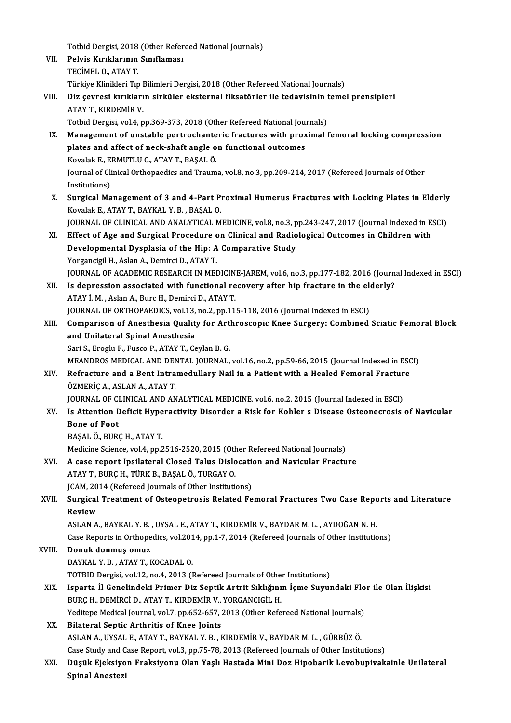Totbid Dergisi, 2018 (Other Refereed National Journals)<br>Relvie Kurklannan Santfameer VII. Pelvis Kırıklarının Sınıflaması<br>TECİMEL O. ATAY T. Totbid Dergisi, 2018<br>Pelvis Kırıklarının<br>TECİMEL O., ATAY T.<br>Türkiye Klinikleri Tır Pelvis Kırıklarının Sınıflaması<br>TECİMEL O., ATAY T.<br>Türkiye Klinikleri Tıp Bilimleri Dergisi, 2018 (Other Refereed National Journals)<br>Din seynesi kınıklanın sinkülen akstannal fiksatörler ile tadevisinin tame TECİMEL O., ATAY T.<br>Türkiye Klinikleri Tıp Bilimleri Dergisi, 2018 (Other Refereed National Journals)<br>VIII. Diz çevresi kırıkların sirküler eksternal fiksatörler ile tedavisinin temel prensipleri<br>ATAV T. KIRDEMİR V Türkiye Klinikleri Tıp I<br>Diz çevresi kırıkları<br>ATAY T., KIRDEMİR V.<br>Tetbid Dergisi yol 4 n Diz çevresi kırıkların sirküler eksternal fiksatörler ile tedavisinin t<br>ATAY T., KIRDEMİR V.<br>Totbid Dergisi, vol.4, pp.369-373, 2018 (Other Refereed National Journals)<br>Management of unstable pertresbanteris frastures with ATAY T., KIRDEMIR V.<br>Totbid Dergisi, vol.4, pp.369-373, 2018 (Other Refereed National Journals)<br>IX. Management of unstable pertrochanteric fractures with proximal femoral locking compression<br>plates and affect of neck-shaft Totbid Dergisi, vol.4, pp.369-373, 2018 (Other Refereed National Journals) Management of unstable pertrochante<br>plates and affect of neck-shaft angle o<br>Kovalak E., ERMUTLU C., ATAY T., BAŞAL Ö.<br>Journal of Clinical Orthonoedics and Troum Journal of Clinical Orthopaedics and Trauma, vol.8, no.3, pp.209-214, 2017 (Refereed Journals of Other<br>Institutions) Kovalak E., E.<br>Journal of Cli<br>Institutions)<br>Surgical Mo X. SurgicalManagement of 3 and 4-Part Proximal Humerus Fractures with Locking Plates in Elderly KovalakE.,ATAYT.,BAYKAL Y.B. ,BAŞALO. Surgical Management of 3 and 4-Part Proximal Humerus Fractures with Locking Plates in Elderly<br>Kovalak E., ATAY T., BAYKAL Y. B. , BAŞAL O.<br>JOURNAL OF CLINICAL AND ANALYTICAL MEDICINE, vol.8, no.3, pp.243-247, 2017 (Journal Kovalak E., ATAY T., BAYKAL Y. B., BAŞAL O.<br>JOURNAL OF CLINICAL AND ANALYTICAL MEDICINE, vol.8, no.3, pp.243-247, 2017 (Journal Indexed in E.<br>XI. Effect of Age and Surgical Procedure on Clinical and Radiological Outcomes i JOURNAL OF CLINICAL AND ANALYTICAL MEDICINE, vol.8, no.3, p<br>Effect of Age and Surgical Procedure on Clinical and Radio<br>Developmental Dysplasia of the Hip: A Comparative Study<br>Yorgangisil H. Aslan A. Demirgi D. ATAYT XI. Effect of Age and Surgical Procedure on Clinical and Radiological Outcomes in Children with<br>Developmental Dysplasia of the Hip: A Comparative Study<br>Yorgancigil H., Aslan A., Demirci D., ATAY T. JOURNAL OF ACADEMIC RESEARCH IN MEDICINE-JAREM, vol.6, no.3, pp.177-182, 2016 (Journal Indexed in ESCI) Yorgancigil H., Aslan A., Demirci D., ATAY T.<br>JOURNAL OF ACADEMIC RESEARCH IN MEDICINE-JAREM, vol.6, no.3, pp.177-182, 2016 (Journ<br>XII. Is depression associated with functional recovery after hip fracture in the elderly?<br>A **JOURNAL OF ACADEMIC RESEARCH IN MEDICIN**<br>Is depression associated with functional re<br>ATAY İ. M. , Aslan A., Burc H., Demirci D., ATAY T.<br>JOUPNAL OF OPTHOPAEDICS vel 13. no 3. nn 11 Is depression associated with functional recovery after hip fracture in the electric ATAY I.<br>ATAY I. M. , Aslan A., Burc H., Demirci D., ATAY T.<br>JOURNAL OF ORTHOPAEDICS, vol.13, no.2, pp.115-118, 2016 (Journal Indexed in E ATAY İ. M. , Aslan A., Burc H., Demirci D., ATAY T.<br>JOURNAL OF ORTHOPAEDICS, vol.13, no.2, pp.115-118, 2016 (Journal Indexed in ESCI)<br>XIII. Comparison of Anesthesia Quality for Arthroscopic Knee Surgery: Combined Sciat JOURNAL OF ORTHOPAEDICS, vol.13, no.2, pp.115-118, 2016 (Journal Indexed in ESCI)<br>Comparison of Anesthesia Quality for Arthroscopic Knee Surgery: Combined<br>and Unilateral Spinal Anesthesia<br>Sari S., Eroglu F., Fusco P., ATAY Comparison of Anesthesia Quality for Art<br>and Unilateral Spinal Anesthesia<br>Sari S., Eroglu F., Fusco P., ATAY T., Ceylan B. G.<br>MEANDROS MEDICAL AND DENTAL IQURNAL and Unilateral Spinal Anesthesia<br>Sari S., Eroglu F., Fusco P., ATAY T., Ceylan B. G.<br>MEANDROS MEDICAL AND DENTAL JOURNAL, vol.16, no.2, pp.59-66, 2015 (Journal Indexed in ESCI)<br>Befrasture and a Bent Intramedullary Neil in XIV. Refracture and a Bent Intramedullary Nail in a Patient with a Healed Femoral Fracture<br>ÖZMERİÇ A., ASLAN A., ATAY T. MEANDROS MEDICAL AND DEN<br>Refracture and a Bent Intra<br>ÖZMERİÇ A., ASLAN A., ATAY T.<br>JOUPNAL OF CLINICAL AND AN Refracture and a Bent Intramedullary Nail in a Patient with a Healed Femoral Fractur<br>ÖZMERİÇ A., ASLAN A., ATAY T.<br>JOURNAL OF CLINICAL AND ANALYTICAL MEDICINE, vol.6, no.2, 2015 (Journal Indexed in ESCI)<br>Is Attention Defis XV. Is Attention Deficit Hyperactivity Disorder a Risk for Kohler s Disease Osteonecrosis of Navicular **JOURNAL OF CI**<br>Is Attention D<br>Bone of Foot<br>PASAL Ö-PUPA BAŞALÖ.,BURÇH.,ATAYT. Bone of Foot<br>BAŞAL Ö., BURÇ H., ATAY T.<br>Medicine Science, vol.4, pp.2516-2520, 2015 (Other Refereed National Journals)<br>A sase naport Insilateral Glosed Talus Dislosation and Navisular Frastu BAŞAL Ö., BURÇ H., ATAY T.<br>Medicine Science, vol.4, pp.2516-2520, 2015 (Other Refereed National Journals)<br>XVI. A case report Ipsilateral Closed Talus Dislocation and Navicular Fracture XVI. A case report Ipsilateral Closed Talus Dislocation and Navicular Fracture<br>ATAY T., BURÇ H., TÜRK B., BAŞAL Ö., TURGAY O. A case report Ipsilateral Closed Talus Dislocation<br>ATAY T., BURÇ H., TÜRK B., BAŞAL Ö., TURGAY O.<br>JCAM, 2014 (Refereed Journals of Other Institutions)<br>Sungical Treatment of Osteonatresia Belated Fe ATAY T., BURÇ H., TÜRK B., BAŞAL Ö., TURGAY O.<br>JCAM, 2014 (Refereed Journals of Other Institutions)<br>XVII. Surgical Treatment of Osteopetrosis Related Femoral Fractures Two Case Reports and Literature<br>Poview **JCAM, 20<br>Surgical<br>Review** Surgical Treatment of Osteopetrosis Related Femoral Fractures Two Case Repo<br>Review<br>ASLAN A., BAYKAL Y. B. , UYSAL E., ATAY T., KIRDEMİR V., BAYDAR M. L. , AYDOĞAN N. H.<br>Case Benerts in Orthonodiss vel 2014, np.1.7, 2014 (B Review<br>ASLAN A., BAYKAL Y. B. , UYSAL E., ATAY T., KIRDEMİR V., BAYDAR M. L. , AYDOĞAN N. H.<br>Case Reports in Orthopedics, vol.2014, pp.1-7, 2014 (Refereed Journals of Other Institutions)<br>Dopuk donmus omuz ASLAN A., BAYKAL Y. B. , UYSAL E., ATAY T., KIRDEMİR V., BAYDAR M. L. , AYDOĞAN N. H.<br>Case Reports in Orthopedics, vol.2014, pp.1-7, 2014 (Refereed Journals of Other Institutio<br>XVIII. Donuk donmuş omuz<br>BAYKAL Y. B. . ATAY Case Reports in Orthopedics, vol.201<br>Donuk donmuş omuz<br>BAYKAL Y. B. , ATAY T., KOCADAL O.<br>TOTPID Dorgisi vol.12, no.4, 2012 (I Donuk donmuş omuz<br>BAYKAL Y. B. , ATAY T., KOCADAL O.<br>TOTBID Dergisi, vol.12, no.4, 2013 (Refereed Journals of Other Institutions)<br>Jenerte Il Conelindeki Brimer Dig Sentik Artrit Sıklığının İsme Suruy BAYKAL Y. B. , ATAY T., KOCADAL O.<br>TOTBID Dergisi, vol.12, no.4, 2013 (Refereed Journals of Other Institutions)<br>XIX. Isparta İl Genelindeki Primer Diz Septik Artrit Sıklığının İçme Suyundaki Flor ile Olan İlişkisi<br>RIJR TOTBID Dergisi, vol.12, no.4, 2013 (Refereed Journals of Othe<br>Isparta İl Genelindeki Primer Diz Septik Artrit Sıklığını<br>BURÇ H., DEMİRCİ D., ATAY T., KIRDEMİR V., YORGANCIGİL H.<br>Veditana Madiaal Jaurnal vol.7, nn 653, 657, Isparta İl Genelindeki Primer Diz Septik Artrit Sıklığının İçme Suyundaki Flo<br>BURÇ H., DEMİRCİ D., ATAY T., KIRDEMİR V., YORGANCIGİL H.<br>Yeditepe Medical Journal, vol.7, pp.652-657, 2013 (Other Refereed National Journals)<br>B BURÇ H., DEMİRCİ D., ATAY T., KIRDEMİR V., YORGANCIGİL H.<br>Yeditepe Medical Journal, vol.7, pp.652-657, 2013 (Other Refe<br>XX. Bilateral Septic Arthritis of Knee Joints Yeditepe Medical Journal, vol.7, pp.652-657, 2013 (Other Refereed National Journals)<br>Bilateral Septic Arthritis of Knee Joints<br>ASLAN A., UYSAL E., ATAY T., BAYKAL Y.B. , KIRDEMİR V., BAYDAR M. L. , GÜRBÜZ Ö.<br>Case Study and ASLAN A., UYSAL E., ATAY T., BAYKAL Y. B., KIRDEMİR V., BAYDAR M. L., GÜRBÜZ Ö. ASLAN A., UYSAL E., ATAY T., BAYKAL Y. B. , KIRDEMİR V., BAYDAR M. L. , GÜRBÜZ Ö.<br>Case Study and Case Report, vol.3, pp.75-78, 2013 (Refereed Journals of Other Institutions)<br>XXI. Düşük Ejeksiyon Fraksiyonu Olan Yaşlı H Case Study and C<br>Düşük Ejeksiyo<br>Spinal Anestezi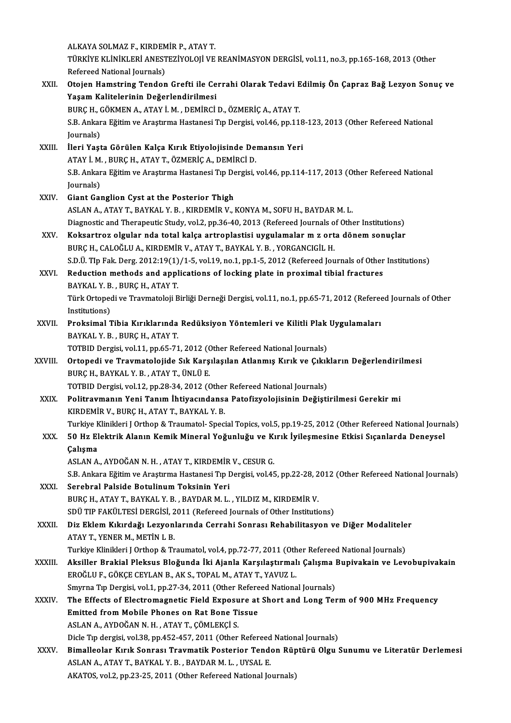ALKAYA SOLMAZ F., KIRDEMİR P., ATAY T. ALKAYA SOLMAZ F., KIRDEMİR P., ATAY T.<br>TÜRKİYE KLİNİKLERİ ANESTEZİYOLOJİ VE REANİMASYON DERGİSİ, vol.11, no.3, pp.165-168, 2013 (Other ALKAYA SOLMAZ F., KIRDEM<br>TÜRKİYE KLİNİKLERİ ANEST<br>Refereed National Journals)<br>Otajan Hamatring Tandan TÜRKİYE KLİNİKLERİ ANESTEZİYOLOJİ VE REANİMASYON DERGİSİ, vol.11, no.3, pp.165-168, 2013 (Other<br>Refereed National Journals)<br>XXII. Otojen Hamstring Tendon Grefti ile Cerrahi Olarak Tedavi Edilmiş Ön Çapraz Bağ Lezyon So Refereed National Journals)<br>Otojen Hamstring Tendon Grefti ile Ce<br>Yaşam Kalitelerinin Değerlendirilmesi<br>PURCH CÖKMEN A ATAVİ M. DEMİRCİ Otojen Hamstring Tendon Grefti ile Cerrahi Olarak Tedavi E<br>Yaşam Kalitelerinin Değerlendirilmesi<br>BURÇ H., GÖKMEN A., ATAY İ.M. , DEMİRCİ D., ÖZMERİÇ A., ATAY T.<br>S.B. Ankara Eğitim ve Arastruna Hastanesi Tın Dergisi vel 46-Yaşam Kalitelerinin Değerlendirilmesi<br>BURÇ H., GÖKMEN A., ATAY İ. M. , DEMİRCİ D., ÖZMERİÇ A., ATAY T.<br>S.B. Ankara Eğitim ve Araştırma Hastanesi Tıp Dergisi, vol.46, pp.118-123, 2013 (Other Refereed National<br>Journals) BURÇ H., (<br>S.B. Ankar<br>Journals)<br>Uori Yost XXIII. İleri Yaşta Görülen Kalça Kırık Etiyolojisinde Demansın Yeri Journals)<br>İleri Yaşta Görülen Kalça Kırık Etiyolojisinde De:<br>ATAY İ. M., BURÇ H., ATAY T., ÖZMERİÇ A., DEMİRCİ D.<br>S.B. Ankara Fğitim ve Arastırma Hastanesi Tın Dergisi 1 İleri Yaşta Görülen Kalça Kırık Etiyolojisinde Demansın Yeri<br>ATAY İ. M. , BURÇ H., ATAY T., ÖZMERİÇ A., DEMİRCİ D.<br>S.B. Ankara Eğitim ve Araştırma Hastanesi Tıp Dergisi, vol.46, pp.114-117, 2013 (Other Refereed National<br>Jo ATAY İ. M.<br>S.B. Ankar<br>Journals)<br>Giant Cay S.B. Ankara Eğitim ve Araştırma Hastanesi Tıp De<br>Journals)<br>XXIV. Giant Ganglion Cyst at the Posterior Thigh<br>ASLAN A ATAVT PAVKAL V P. KIRDEMİR V J Journals)<br>Giant Ganglion Cyst at the Posterior Thigh<br>ASLAN A., ATAY T., BAYKAL Y. B. , KIRDEMİR V., KONYA M., SOFU H., BAYDAR M. L. Giant Ganglion Cyst at the Posterior Thigh<br>ASLAN A., ATAY T., BAYKAL Y. B. , KIRDEMİR V., KONYA M., SOFU H., BAYDAR M. L.<br>Diagnostic and Therapeutic Study, vol.2, pp.36-40, 2013 (Refereed Journals of Other Institutions)<br>Ke XXV. Koksartroz olgular nda total kalça artroplastisi uygulamalar m z orta dönem sonuçlar<br>BURC H., CALOĞLU A., KIRDEMİR V., ATAY T., BAYKAL Y. B., YORGANCIGİL H. Diagnostic and Therapeutic Study, vol.2, pp.36-40, 2013 (Refereed Journals o<br>Koksartroz olgular nda total kalça artroplastisi uygulamalar m z ort<br>BURÇ H., CALOĞLU A., KIRDEMİR V., ATAY T., BAYKAL Y. B. , YORGANCIGİL H.<br>S.D S.D.Ü. TIp Fak. Derg.  $2012:19(1)/1$ -5, vol.19, no.1, pp.1-5, 2012 (Refereed Journals of Other Institutions) BURÇ H., CALOĞLU A., KIRDEMİR V., ATAY T., BAYKAL Y. B., YORGANCIGİL H.<br>S.D.Ü. TIp Fak. Derg. 2012:19(1)/1-5, vol.19, no.1, pp.1-5, 2012 (Refereed Journals of Other<br>XXVI. Reduction methods and applications of locking plate S.D.Ü. TIp Fak. Derg. 2012:19(1)<br>Reduction methods and appl<br>BAYKAL Y. B. , BURÇ H., ATAY T.<br>Türk Ortonodi ve Traumateleii B Türk Ortopedi ve Travmatoloji Birliği Derneği Dergisi, vol.11, no.1, pp.65-71, 2012 (Refereed Journals of Other<br>Institutions) BAYKAL Y. B., BURÇ H., ATAY T. Türk Ortopedi ve Travmatoloji Birliği Derneği Dergisi, vol.11, no.1, pp.65-71, 2012 (Refered<br>Institutions)<br>XXVII. Proksimal Tibia Kırıklarında Redüksiyon Yöntemleri ve Kilitli Plak Uygulamaları<br>PAYKAL Y. P. PUPCH ATAVT Institutions)<br><mark>Proksimal Tibia Kırıklarında</mark><br>BAYKAL Y. B. , BURÇ H., ATAY T.<br>TOTPID Dergisi vel 11 an 65.71 Proksimal Tibia Kırıklarında Redüksiyon Yöntemleri ve Kilitli Plak<br>BAYKAL Y. B., BURÇ H., ATAY T.<br>TOTBID Dergisi, vol.11, pp.65-71, 2012 (Other Refereed National Journals)<br>Ortonadi ve Traymatalaiide Sık Karsılasılan Atlanm BAYKAL Y. B. , BURÇ H., ATAY T.<br>TOTBID Dergisi, vol.11, pp.65-71, 2012 (Other Refereed National Journals)<br>XXVIII. Ortopedi ve Travmatolojide Sık Karşılaşılan Atlanmış Kırık ve Çıkıkların Değerlendirilmesi<br>RURC H. BAYKA TOTBID Dergisi, vol.11, pp.65-71, 2012 (Other Refereed National Journals)<br>Ortopedi ve Travmatolojide Sık Karşılaşılan Atlanmış Kırık ve Çıkıl<br>BURÇ H., BAYKAL Y. B., ATAY T., ÜNLÜ E.<br>TOTBID Dergisi, vol.12, pp.28-34, 2012 ( Ortopedi ve Travmatolojide Sık Karşılaşılan Atlanmış Kırık ve Çıkık<br>BURÇ H., BAYKAL Y. B. , ATAY T., ÜNLÜ E.<br>TOTBID Dergisi, vol.12, pp.28-34, 2012 (Other Refereed National Journals)<br>Politravmanın Vani Tanım İbtiyasındanas BURÇ H., BAYKAL Y. B. , ATAY T., ÜNLÜ E.<br>TOTBID Dergisi, vol.12, pp.28-34, 2012 (Other Refereed National Journals)<br>XXIX. Politravmanın Yeni Tanım İhtiyacındansa Patofizyolojisinin Değiştirilmesi Gerekir mi TOTBID Dergisi, vol.12, pp.28-34, 2012 (Other<br>Politravmanın Yeni Tanım İhtiyacındansa<br>KIRDEMİR V., BURÇ H., ATAY T., BAYKAL Y. B.<br>Turkiya Kliniklari LOrthan & Traumatal, Spaci KIRDEMİR V., BURÇ H., ATAY T., BAYKAL Y. B.<br>Turkiye Klinikleri J Orthop & Traumatol- Special Topics, vol.5, pp.19-25, 2012 (Other Refereed National Journals) KIRDEMİR V., BURÇ H., ATAY T., BAYKAL Y. B.<br>Turkiye Klinikleri J Orthop & Traumatol- Special Topics, vol.5, pp.19-25, 2012 (Other Refereed National Journ<br>XXX. 50 Hz Elektrik Alanın Kemik Mineral Yoğunluğu ve Kırık İyil Turkiye k<br>50 Hz El<br>Çalışma<br>ASLAN A 50 Hz Elektrik Alanın Kemik Mineral Yoğunluğu ve Kı<br>Çalışma<br>ASLAN A., AYDOĞAN N. H. , ATAY T., KIRDEMİR V., CESUR G.<br>S.B. Ankana Făitim ve Arastuma Hastanasi Tın Dansisi vel 45 Çalışma<br>ASLAN A., AYDOĞAN N. H. , ATAY T., KIRDEMİR V., CESUR G.<br>S.B. Ankara Eğitim ve Araştırma Hastanesi Tıp Dergisi, vol.45, pp.22-28, 2012 (Other Refereed National Journals)<br>Sarahral Palaida Batulinum Taksinin Yori ASLAN A., AYDOĞAN N. H. , ATAY T., KIRDEMİR<br>S.B. Ankara Eğitim ve Araştırma Hastanesi Tıp I<br>XXXI. Serebral Palside Botulinum Toksinin Yeri<br>PUPC H. ATAY T. PAYKAL V. B., PAYDAR M. J S.B. Ankara Eğitim ve Araştırma Hastanesi Tıp Dergisi, vol.45, pp.22-28, 2<br>Serebral Palside Botulinum Toksinin Yeri<br>BURÇ H., ATAY T., BAYKAL Y. B. , BAYDAR M. L. , YILDIZ M., KIRDEMİR V.<br>SDÜ TIP FAKÜLTESİ DERÇİSİ. 2011 (Pe Serebral Palside Botulinum Toksinin Yeri<br>BURÇ H., ATAY T., BAYKAL Y. B. , BAYDAR M. L. , YILDIZ M., KIRDEMİR V.<br>SDÜ TIP FAKÜLTESİ DERGİSİ, 2011 (Refereed Journals of Other Institutions)<br>Diz Eklem Kıkızdağı Lezvenlarında Ce BURÇ H., ATAY T., BAYKAL Y. B. , BAYDAR M. L. , YILDIZ M., KIRDEMİR V.<br>SDÜ TIP FAKÜLTESİ DERGİSİ, 2011 (Refereed Journals of Other Institutions)<br>XXXII. Diz Eklem Kıkırdağı Lezyonlarında Cerrahi Sonrası Rehabilitasyon v SDÜ TIP FAKÜLTESİ DERGİSİ, 2<br>Diz Eklem Kıkırdağı Lezyonl<br>ATAY T., YENER M., METİN L B.<br>Turkiye Klinikleri LOrthon & Tr Diz Eklem Kıkırdağı Lezyonlarında Cerrahi Sonrası Rehabilitasyon ve Diğer Modalitele<br>ATAY T., YENER M., METİN L B.<br>Turkiye Klinikleri J Orthop & Traumatol, vol.4, pp.72-77, 2011 (Other Refereed National Journals)<br>Aksiller ATAY T., YENER M., METİN L B.<br>Turkiye Klinikleri J Orthop & Traumatol, vol.4, pp.72-77, 2011 (Other Refereed National Journals)<br>XXXIII. Aksiller Brakial Pleksus Bloğunda İki Ajanla Karşılaştırmalı Çalışma Bupivakain ve Turkiye Klinikleri J Orthop & Traumatol, vol.4, pp.72-77, 2011 (Oth<br>Aksiller Brakial Pleksus Bloğunda İki Ajanla Karşılaştırmal<br>EROĞLU F., GÖKÇE CEYLAN B., AK S., TOPAL M., ATAY T., YAVUZ L.<br>Smunna Tın Dergisi val.1, np.27 Aksiller Brakial Pleksus Bloğunda İki Ajanla Karşılaştırmalı Çalışma l<br>EROĞLU F., GÖKÇE CEYLAN B., AK S., TOPAL M., ATAY T., YAVUZ L.<br>Smyrna Tıp Dergisi, vol.1, pp.27-34, 2011 (Other Refereed National Journals)<br>The Effects EROĞLU F., GÖKÇE CEYLAN B., AK S., TOPAL M., ATAY T., YAVUZ L.<br>Smyrna Tıp Dergisi, vol.1, pp.27-34, 2011 (Other Refereed National Journals)<br>XXXIV. The Effects of Electromagnetic Field Exposure at Short and Long Term of Smyrna Tip Dergisi, vol.1, pp.27-34, 2011 (Other Refereed National Journals) ASLANA.,AYDOĞANN.H. ,ATAYT.,ÇÖMLEKÇİ S. Dicle Tip dergisi, vol.38, pp.452-457, 2011 (Other Refereed National Journals) ASLAN A., AYDOĞAN N. H. , ATAY T., ÇÖMLEKÇİ S.<br>Dicle Tıp dergisi, vol.38, pp.452-457, 2011 (Other Refereed National Journals)<br>XXXV. Bimalleolar Kırık Sonrası Travmatik Posterior Tendon Rüptürü Olgu Sunumu ve Literatür Derl Dicle Tıp dergisi, vol.38, pp.452-457, 2011 (Other Refereed<br>Bimalleolar Kırık Sonrası Travmatik Posterior Tende<br>ASLAN A., ATAY T., BAYKAL Y. B. , BAYDAR M. L. , UYSAL E.<br>AKATOS xol.2. pp.22.25. 2011 (Other Befereed Nationa ASLAN A., ATAY T., BAYKAL Y. B. , BAYDAR M. L. , UYSAL E.<br>AKATOS, vol.2, pp.23-25, 2011 (Other Refereed National Journals)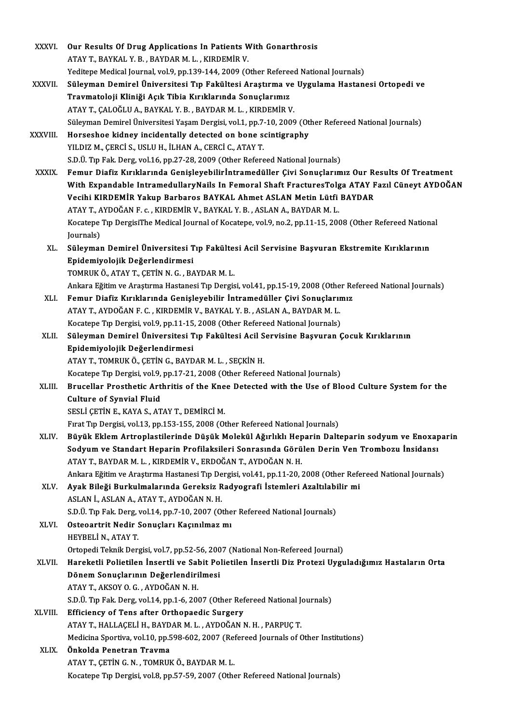| <b>XXXVI</b> | Our Results Of Drug Applications In Patients With Gonarthrosis                                              |
|--------------|-------------------------------------------------------------------------------------------------------------|
|              | ATAY T., BAYKAL Y. B. , BAYDAR M. L. , KIRDEMİR V.                                                          |
|              | Yeditepe Medical Journal, vol.9, pp.139-144, 2009 (Other Refereed National Journals)                        |
| XXXVII.      | Süleyman Demirel Üniversitesi Tıp Fakültesi Araştırma ve Uygulama Hastanesi Ortopedi ve                     |
|              | Travmatoloji Kliniği Açık Tibia Kırıklarında Sonuçlarımız                                                   |
|              | ATAY T., ÇALOĞLU A., BAYKAL Y. B., BAYDAR M. L., KIRDEMİR V.                                                |
|              | Süleyman Demirel Üniversitesi Yaşam Dergisi, vol.1, pp.7-10, 2009 (Other Refereed National Journals)        |
| XXXVIII.     | Horseshoe kidney incidentally detected on bone scintigraphy                                                 |
|              | YILDIZ M., ÇERCİ S., USLU H., İLHAN A., CERCİ C., ATAY T.                                                   |
|              | S.D.Ü. Tıp Fak. Derg, vol.16, pp.27-28, 2009 (Other Refereed National Journals)                             |
| <b>XXXIX</b> | Femur Diafiz Kırıklarında Genişleyebilirİntramedüller Çivi Sonuçlarımız Our Results Of Treatment            |
|              | With Expandable Intramedullary Nails In Femoral Shaft Fractures Tolga ATAY Fazıl Cüneyt AYDOĞAN             |
|              | Vecihi KIRDEMİR Yakup Barbaros BAYKAL Ahmet ASLAN Metin Lütfi BAYDAR                                        |
|              | ATAY T., AYDOĞAN F. c., KIRDEMİR V., BAYKAL Y. B., ASLAN A., BAYDAR M. L.                                   |
|              | Kocatepe Tip DergisiThe Medical Journal of Kocatepe, vol.9, no.2, pp.11-15, 2008 (Other Refereed National   |
|              | Journals)                                                                                                   |
| XL.          | Süleyman Demirel Üniversitesi Tıp Fakültesi Acil Servisine Başvuran Ekstremite Kırıklarının                 |
|              | Epidemiyolojik Değerlendirmesi                                                                              |
|              | TOMRUK Ö., ATAY T., ÇETİN N. G., BAYDAR M. L.                                                               |
|              | Ankara Eğitim ve Araştırma Hastanesi Tıp Dergisi, vol.41, pp.15-19, 2008 (Other Refereed National Journals) |
| XLI.         | Femur Diafiz Kırıklarında Genişleyebilir İntramedüller Çivi Sonuçlarımız                                    |
|              | ATAY T., AYDOĞAN F. C., KIRDEMİR V., BAYKAL Y. B., ASLAN A., BAYDAR M. L.                                   |
|              | Kocatepe Tıp Dergisi, vol.9, pp.11-15, 2008 (Other Refereed National Journals)                              |
| XLII.        | Süleyman Demirel Üniversitesi Tıp Fakültesi Acil Servisine Başvuran Çocuk Kırıklarının                      |
|              | Epidemiyolojik Değerlendirmesi                                                                              |
|              | ATAY T., TOMRUK Ö., ÇETİN G., BAYDAR M. L., SEÇKİN H.                                                       |
|              | Kocatepe Tıp Dergisi, vol.9, pp.17-21, 2008 (Other Refereed National Journals)                              |
| XLIII.       | Brucellar Prosthetic Arthritis of the Knee Detected with the Use of Blood Culture System for the            |
|              | Culture of Synvial Fluid                                                                                    |
|              | SESLI ÇETIN E., KAYA S., ATAY T., DEMIRCI M.                                                                |
|              | Firat Tip Dergisi, vol.13, pp.153-155, 2008 (Other Refereed National Journals)                              |
| XLIV.        | Büyük Eklem Artroplastilerinde Düşük Molekül Ağırlıklı Heparin Dalteparin sodyum ve Enoxaparin              |
|              | Sodyum ve Standart Heparin Profilaksileri Sonrasında Görülen Derin Ven Trombozu İnsidansı                   |
|              | ATAY T., BAYDAR M. L., KIRDEMİR V., ERDOĞAN T., AYDOĞAN N. H.                                               |
|              | Ankara Eğitim ve Araştırma Hastanesi Tıp Dergisi, vol.41, pp.11-20, 2008 (Other Refereed National Journals) |
| XLV.         | Ayak Bileği Burkulmalarında Gereksiz Radyografi İstemleri Azaltılabilir mi                                  |
|              | ASLAN İ., ASLAN A., ATAY T., AYDOĞAN N.H.                                                                   |
|              | S.D.Ü. Tıp Fak. Derg, vol.14, pp.7-10, 2007 (Other Refereed National Journals)                              |
| XLVI.        | Osteoartrit Nedir Sonuçları Kaçınılmaz mı                                                                   |
|              | HEYBELİ N., ATAY T.                                                                                         |
|              | Ortopedi Teknik Dergisi, vol.7, pp.52-56, 2007 (National Non-Refereed Journal)                              |
| XLVII.       | Hareketli Polietilen İnsertli ve Sabit Polietilen İnsertli Diz Protezi Uyguladığımız Hastaların Orta        |
|              | Dönem Sonuçlarının Değerlendirilmesi                                                                        |
|              | ATAY T., AKSOY O. G., AYDOĞAN N. H.                                                                         |
|              | S.D.Ü. Tıp Fak. Derg, vol.14, pp.1-6, 2007 (Other Refereed National Journals)                               |
| XLVIII.      | Efficiency of Tens after Orthopaedic Surgery                                                                |
|              | ATAY T., HALLAÇELİ H., BAYDAR M. L., AYDOĞAN N. H., PARPUÇ T.                                               |
|              | Medicina Sportiva, vol.10, pp.598-602, 2007 (Refereed Journals of Other Institutions)                       |
| XLIX.        | Önkolda Penetran Travma                                                                                     |
|              | ATAY T., ÇETİN G. N., TOMRUK Ö., BAYDAR M. L.                                                               |
|              | Kocatepe Tıp Dergisi, vol.8, pp.57-59, 2007 (Other Refereed National Journals)                              |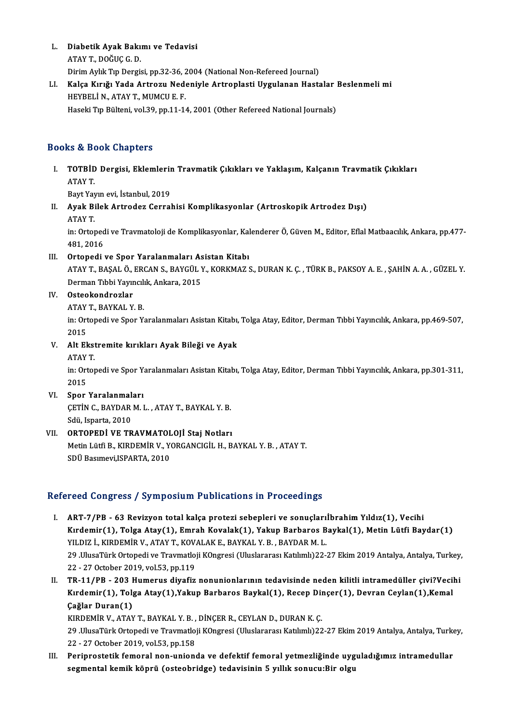L. Diabetik Ayak Bakımı ve Tedavisi<br>ATAV T. DOČUC C. D. **Diabetik Ayak Bakı**<br>ATAY T., DOĞUÇ G. D.<br><sup>Dinim Aylık Tın Dengi</sup> ATAY T., DOĞUÇ G. D.<br>Dirim Aylık Tıp Dergisi, pp.32-36, 2004 (National Non-Refereed Journal) ATAY T., DOĞUÇ G. D.<br>Dirim Aylık Tıp Dergisi, pp.32-36, 2004 (National Non-Refereed Journal)<br>LI. Kalça Kırığı Yada Artrozu Nedeniyle Artroplasti Uygulanan Hastalar Beslenmeli mi<br>HEVPELLN ATAY T. MIMCU E. E

# Dirim Aylık Tıp Dergisi, pp.32-36, 2<br>**Kalça Kırığı Yada Artrozu Ned**ı<br>HEYBELİ N., ATAY T., MUMCU E. F.<br>Haseki Tıp Bültoni vel 39, pp.11-1. Kalça Kırığı Yada Artrozu Nedeniyle Artroplasti Uygulanan Hastalar ]<br>HEYBELİ N., ATAY T., MUMCU E. F.<br>Haseki Tıp Bülteni, vol.39, pp.11-14, 2001 (Other Refereed National Journals) Haseki Tıp Bülteni, vol.39, pp.11-14, 2001 (Other Refereed National Journals)<br>Books & Book Chapters

00ks & Book Chapters<br>I. TOTBİD Dergisi, Eklemlerin Travmatik Çıkıkları ve Yaklaşım, Kalçanın Travmatik Çıkıkları<br>ATAV T MOCODA<br>TOTBID<br>ATAY T. **TOTBİD Dergisi, Eklemlerir**<br>ATAY T.<br>Bayt Yayın evi, İstanbul, 2019<br>Ayak Bilak Artraday Carral ATAY T.<br>Bayt Yayın evi, İstanbul, 2019<br>II. Ayak Bilek Artrodez Cerrahisi Komplikasyonlar (Artroskopik Artrodez Dışı)<br>ATAY T

- Bayt Yay<br>**Ayak Bi**<br>ATAY T.
	-

Ayak Bilek Artrodez Cerrahisi Komplikasyonlar (Artroskopik Artrodez Dışı)<br>ATAY T.<br>in: Ortopedi ve Travmatoloji de Komplikasyonlar, Kalenderer Ö, Güven M., Editor, Eflal Matbaacılık, Ankara, pp.477-ATAY T.<br>in: Ortoped<br>481, 2016<br>Ortopedi in: Ortopedi ve Travmatoloji de Komplikasyonlar, Kal<br>481, 2016<br>III. Ortopedi ve Spor Yaralanmaları Asistan Kitabı<br>ATAVT BASALÖ ERGAN S. BAYÇÜL V. KORKMAZ 9 481, 2016<br>Ortopedi ve Spor Yaralanmaları Asistan Kitabı<br>ATAY T., BASAL Ö., ERCAN S., BAYGÜL Y., KORKMAZ S., DURAN K. C. , TÜRK B., PAKSOY A. E. , SAHİN A. A. , GÜZEL Y

Ortopedi ve Spor Yaralanmaları As<br>ATAY T., BAŞAL Ö., ERCAN S., BAYGÜL )<br>Derman Tıbbi Yayıncılık, Ankara, 2015<br>Ostaakandrazlar Derman Tıbbi Yayıncılık, Ankara, 2015

### IV. Osteokondrozlar

Osteokondrozlar<br>ATAY T., BAYKAL Y. B.<br>in: Ortopedi ve Spor Yaralanmaları Asistan Kitabı, Tolga Atay, Editor, Derman Tıbbi Yayıncılık, Ankara, pp.469-507, ATAY<br>in: Ort<br>2015<br>Alt El in: Ortopedi ve Spor Yaralanmaları Asistan Kitabı,<br>2015<br>V. Alt Ekstremite kırıkları Ayak Bileği ve Ayak<br>ATAVT 2015<br>**Alt Ekst**<br>ATAY T.

Alt Ekstremite kırıkları Ayak Bileği ve Ayak<br>ATAY T.<br>in: Ortopedi ve Spor Yaralanmaları Asistan Kitabı, Tolga Atay, Editor, Derman Tıbbi Yayıncılık, Ankara, pp.301-311,<br>2015 ATAY<br>in: Ort<br>2015<br>Spor in: Ortopedi ve Spor Y.<br>2015<br>VI. Spor Yaralanmaları<br>CETİN G. BAVDAR M.L

2015<br>Spor Yaralanmaları<br>ÇETİN C., BAYDAR M. L. , ATAY T., BAYKAL Y. B.<br>Sdü, Isparta, 2010 Spor Yaralanmal<br>ÇETİN C., BAYDAR<br>Sdü, Isparta, 2010<br>OPTOPEDİ VE TP CETIN C., BAYDAR M. L., ATAY T., BAYKAL Y. B.<br>Sdü, Isparta, 2010<br>VII. **ORTOPEDI VE TRAVMATOLOJI Staj Notları**<br>Metin Lütfi B. KIRDEMIR V. YORCANCICIL H. B

Metin Lütfi B., KIRDEMİR V., YORGANCIGİL H., BAYKAL Y. B. , ATAY T.<br>SDÜ Basımevi.ISPARTA. 2010 ORTOPEDİ VE TRAVMATOL<br>Metin Lütfi B., KIRDEMİR V., Y<br>SDÜ Basımevi,ISPARTA, 2010

### Refereed Congress / Symposium Publications in Proceedings

- I. ART-7/PB 63 Revizyon total kalça protezi sebepleri ve sonuçlarıİbrahim Yıldız(1), Vecihi Kod dongross 7 symposiam i ashtations in Frocceangs<br>ART-7/PB - 63 Revizyon total kalça protezi sebepleri ve sonuçlarıİbrahim Yıldız(1), Vecihi<br>Kırdemir(1), Tolga Atay(1), Emrah Kovalak(1), Yakup Barbaros Baykal(1), Metin L ART-7/PB - 63 Revizyon total kalça protezi sebepleri ve sonuçları:<br>Kırdemir(1), Tolga Atay(1), Emrah Kovalak(1), Yakup Barbaros B<br>YILDIZ İ., KIRDEMİR V., ATAY T., KOVALAK E., BAYKAL Y. B., BAYDAR M. L.<br>29 HluseTürk Ortoped Kırdemir(1), Tolga Atay(1), Emrah Kovalak(1), Yakup Barbaros Baykal(1), Metin Lütfi Baydar(1)<br>YILDIZ İ., KIRDEMİR V., ATAY T., KOVALAK E., BAYKAL Y. B. , BAYDAR M. L.<br>29 .UlusaTürk Ortopedi ve Travmatloji KOngresi (Uluslar YILDIZ İ., KIRDEMİR V., ATAY T., KOVALAK E., BAYKAL Y. B. , BAYDAR M. L.<br>29 .UlusaTürk Ortopedi ve Travmatloji KOngresi (Uluslararası Katılımlı)22-27 Ekim 2019 Antalya, Antalya, Turkey,<br>22 - 27 October 2019, vol.53, pp.119 29 .UlusaTürk Ortopedi ve Travmatloji KOngresi (Uluslararası Katılımlı)22-27 Ekim 2019 Antalya, Antalya, Turkey,
- 22 27 October 2019, vol.53, pp.119<br>TR-11/PB 203 Humerus diyafiz nonunionlarının tedavisinde neden kilitli intramedüller çivi?Vecil<br>Kırdemir(1), Tolga Atay(1),Yakup Barbaros Baykal(1), Recep Dinçer(1), Devran Ceylan(1), TR-11/PB - 203 I<br>Kırdemir(1), Tol<sub>{</sub><br>Çağlar Duran(1)<br>KIRDEMİR V. ATAY Kırdemir(1), Tolga Atay(1),Yakup Barbaros Baykal(1), Recep Din<br>Çağlar Duran(1)<br>KIRDEMİR V., ATAY T., BAYKAL Y. B. , DİNÇER R., CEYLAN D., DURAN K. Ç.<br>20 HluseTürk Oxtonodi ve Traymatloji KOngresi (Hluslararsa: Katılımlı)22

KIRDEMİR V., ATAY T., BAYKAL Y. B., DİNÇER R., CEYLAN D., DURAN K. Ç.

**Çağlar Duran(1)**<br>KIRDEMİR V., ATAY T., BAYKAL Y. B. , DİNÇER R., CEYLAN D., DURAN K. Ç.<br>29 .UlusaTürk Ortopedi ve Travmatloji KOngresi (Uluslararası Katılımlı)22-27 Ekim 2019 Antalya, Antalya, Turkey,<br>22 - 27 October 2019 29 .UlusaTürk Ortopedi ve Travmatloji KOngresi (Uluslararası Katılımlı)22-27 Ekim 2019 Antalya, Antalya, Turko<br>22 - 27 October 2019, vol.53, pp.158<br>III. Periprostetik femoral non-unionda ve defektif femoral yetmezliğinde u

22 - 27 October 2019, vol.53, pp.158<br>Periprostetik femoral non-unionda ve defektif femoral yetmezliğinde uyg<br>segmental kemik köprü (osteobridge) tedavisinin 5 yıllık sonucu:Bir olgu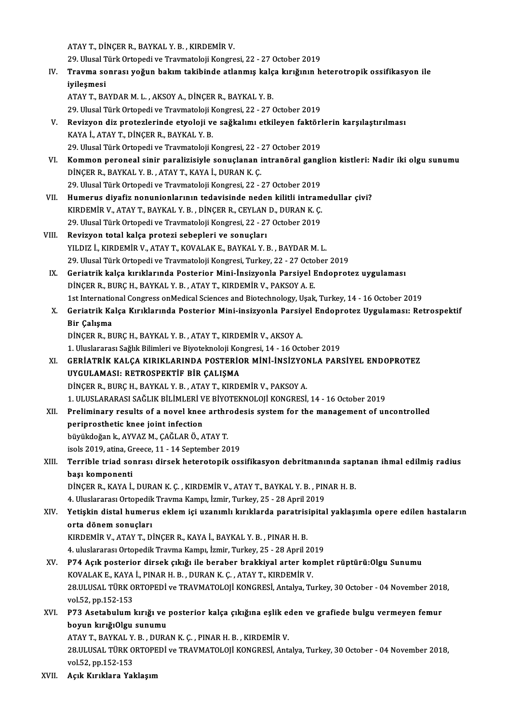ATAYT.,DİNÇERR.,BAYKAL Y.B. ,KIRDEMİRV.

29.UlusalTürkOrtopediveTravmatolojiKongresi,22 -27October 2019

ATAY T., DİNÇER R., BAYKAL Y. B. , KIRDEMİR V.<br>29. Ulusal Türk Ortopedi ve Travmatoloji Kongresi, 22 - 27 October 2019<br>IV. Travma sonrası yoğun bakım takibinde atlanmış kalça kırığının heterotropik ossifikasyon ile<br>ivi 29. Ulusal T<br><mark>Travma so</mark><br>iyileşmesi<br><sup>ATAV T. BA</sup> Travma sonrası yoğun bakım takibinde atlanmış kalç<br>iyileşmesi<br>ATAY T., BAYDAR M. L. , AKSOY A., DİNÇER R., BAYKAL Y. B.<br>29 Ulucal Türk Ortopedi ve Traymatoloji Kongresi 22, 27 ( iyileşmesi<br>ATAY T., BAYDAR M. L. , AKSOY A., DİNÇER R., BAYKAL Y. B.<br>29. Ulusal Türk Ortopedi ve Travmatoloji Kongresi, 22 - 27 October 2019

- ATAY T., BAYDAR M. L. , AKSOY A., DİNÇER R., BAYKAL Y. B.<br>29. Ulusal Türk Ortopedi ve Travmatoloji Kongresi, 22 27 October 2019<br>20. Revizyon diz protezlerinde etyoloji ve sağkalımı etkileyen faktörlerin karşılaştırılması 29. Ulusal Türk Ortopedi ve Travmatoloji M<br>**Revizyon diz protezlerinde etyoloji v**<br>KAYA İ., ATAY T., DİNÇER R., BAYKAL Y. B.<br>29. Ulusal Türk Ortopedi ve Travmatoloji k Revizyon diz protezlerinde etyoloji ve sağkalımı etkileyen faktörl<br>KAYA İ., ATAY T., DİNÇER R., BAYKAL Y. B.<br>29. Ulusal Türk Ortopedi ve Travmatoloji Kongresi, 22 - 27 October 2019<br>Komman paranaal sinin paralizisiyle sanıy KAYA İ., ATAY T., DİNÇER R., BAYKAL Y. B.<br>29. Ulusal Türk Ortopedi ve Travmatoloji Kongresi, 22 - 27 October 2019<br>VI. Kommon peroneal sinir paralizisiyle sonuçlanan intranöral ganglion kistleri: Nadir iki olgu sunumu<br>D
- 29. Ulusal Türk Ortopedi ve Travmatoloji Kongresi, 22 .<br>**Kommon peroneal sinir paralizisiyle sonuçlanan i**<br>DİNÇER R., BAYKAL Y. B. , ATAY T., KAYA İ., DURAN K. Ç.<br>29. Ulusal Türk Ortopedi ve Travmatalaji Kongresi, 22 Kommon peroneal sinir paralizisiyle sonuçlanan intranöral gangl<br>DİNÇER R., BAYKAL Y. B. , ATAY T., KAYA İ., DURAN K. Ç.<br>29. Ulusal Türk Ortopedi ve Travmatoloji Kongresi, 22 - 27 October 2019<br>Humerus diyafir nanunianlarını DİNÇER R., BAYKAL Y. B. , ATAY T., KAYA İ., DURAN K. Ç.<br>29. Ulusal Türk Ortopedi ve Travmatoloji Kongresi, 22 - 27 October 2019<br>29. VII. Humerus diyafiz nonunionlarının tedavisinde neden kilitli intramedullar çivi?
- 29. Ulusal Türk Ortopedi ve Travmatoloji Kongresi, 22 27 October 2019<br>Humerus diyafiz nonunionlarının tedavisinde neden kilitli intram<br>KIRDEMİR V., ATAY T., BAYKAL Y. B. , DİNÇER R., CEYLAN D., DURAN K. Ç.<br>20. Ulusal Tür Humerus diyafiz nonunionlarının tedavisinde neden kilitli intram<br>KIRDEMİR V., ATAY T., BAYKAL Y. B. , DİNÇER R., CEYLAN D., DURAN K. Ç.<br>29. Ulusal Türk Ortopedi ve Travmatoloji Kongresi, 22 - 27 October 2019<br>Bevizuen tetal
- 29. Ulusal Türk Ortopedi ve Travmatoloji Kongresi, 22 27 October 2019<br>VIII. Revizyon total kalça protezi sebepleri ve sonuçları
- YILDIZ İ.,KIRDEMİRV.,ATAYT.,KOVALAKE.,BAYKAL Y.B. ,BAYDARM.L. 29.UlusalTürkOrtopediveTravmatolojiKongresi,Turkey,22 -27October 2019
- IX. Geriatrik kalça kırıklarında Posterior Mini-İnsizyonla Parsiyel Endoprotez uygulaması DİNÇER R., BURÇ H., BAYKAL Y. B., ATAY T., KIRDEMİR V., PAKSOY A. E. Geriatrik kalça kırıklarında Posterior Mini-İnsizyonla Parsiyel Endoprotez uygulaması<br>DİNÇER R., BURÇ H., BAYKAL Y. B. , ATAY T., KIRDEMİR V., PAKSOY A. E.<br>1st International Congress onMedical Sciences and Biotechnology, U
- X. Geriatrik Kalça Kırıklarında Posterior Mini-insizyonla Parsiyel Endoprotez Uygulaması: Retrospektif 1st Internatio<br>Geriatrik Ka<br>Bir Çalışma<br>DiNCEP P. Pl Geriatrik Kalça Kırıklarında Posterior Mini-insizyonla Parsiy<br>Bir Çalışma<br>DİNÇER R., BURÇ H., BAYKAL Y. B. , ATAY T., KIRDEMİR V., AKSOY A.<br>1. Uluslararası Sağlık Bilimlari ve Biyotekneleji Kongresi 14, 16 Oct Bir Çalışma<br>DİNÇER R., BURÇ H., BAYKAL Y. B. , ATAY T., KIRDEMİR V., AKSOY A.<br>1. Uluslararası Sağlık Bilimleri ve Biyoteknoloji Kongresi, 14 - 16 October 2019<br>GERLATRİK KALCA KIRIKLARINDA ROSTERİOR MİNİ İNSİZVONLA RAR:
	-
	-
- DİNÇER R., BURÇ H., BAYKAL Y. B. , ATAY T., KIRDEMİR V., AKSOY A.<br>1. Uluslararası Sağlık Bilimleri ve Biyoteknoloji Kongresi, 14 16 October 2019<br>XI. GERİATRİK KALÇA KIRIKLARINDA POSTERİOR MİNİ-İNSİZYONLA PARSİYEL ENDOPRO 1. Uluslararası Sağlık Bilimleri ve Biyoteknoloji Kongride Kalışması: RETROSPEKTİF BİR ÇALIŞMA<br>UYGULAMASI: RETROSPEKTİF BİR ÇALIŞMA<br>DİNCEP P. BURC H. BAYKAL V. B., ATAV T. KIRDI GERİATRİK KALÇA KIRIKLARINDA POSTERİOR MİNİ-İNSİZYOI<br>UYGULAMASI: RETROSPEKTİF BİR ÇALIŞMA<br>DİNÇER R., BURÇ H., BAYKAL Y. B. , ATAY T., KIRDEMİR V., PAKSOY A.<br>1. ULUSLARASI SAĞLIY BİLİM ERLVE BİYOTEKNOLOU KONCRESİ UYGULAMASI: RETROSPEKTİF BİR ÇALIŞMA<br>DİNÇER R., BURÇ H., BAYKAL Y. B. , ATAY T., KIRDEMİR V., PAKSOY A.<br>1. ULUSLARARASI SAĞLIK BİLİMLERİ VE BİYOTEKNOLOJİ KONGRESİ, 14 - 16 October 2019<br>Praliminary rasulta af a naval knas a

DİNÇER R., BURÇ H., BAYKAL Y. B. , ATAY T., KIRDEMİR V., PAKSOY A.<br>1. ULUSLARARASI SAĞLIK BİLİMLERİ VE BİYOTEKNOLOJİ KONGRESİ, 14 - 16 October 2019<br>XII. Preliminary results of a novel knee arthrodesis system for the manage 1. ULUSLARARASI SAĞLIK BİLİMLERİ V<br>Preliminary results of a novel knee<br>periprosthetic knee joint infection<br>büyükdeğan k. AYVAZ M. GAĞLAR Ö. A

büyükdoğan k., AYVAZ M., ÇAĞLAR Ö., ATAY T. periprosthetic knee joint infection<br>büyükdoğan k., AYVAZ M., ÇAĞLAR Ö., ATAY T.<br>isols 2019, atina, Greece, 11 - 14 September 2019<br>Terrible triad sennası dirsek betenetenik ess

### büyükdoğan k., AYVAZ M., ÇAĞLAR Ö., ATAY T.<br>isols 2019, atina, Greece, 11 - 14 September 2019<br>XIII. Terrible triad sonrası dirsek heterotopik ossifikasyon debritmanında saptanan ihmal edilmiş radius<br>hası komponenti isols 2019, atina, Gi<br>Terrible triad sol<br>başı komponenti<br>DİNGER B. KAYA İ Terrible triad sonrası dirsek heterotopik ossifikasyon debritmanında sap<br>başı komponenti<br>DİNÇER R., KAYA İ., DURAN K. Ç. , KIRDEMİR V., ATAY T., BAYKAL Y. B. , PINAR H. B.<br>4. Uluslararesi Ortanedik Trauma Kampı, İsmin Turk başı komponenti<br>DİNÇER R., KAYA İ., DURAN K. Ç. , KIRDEMİR V., ATAY T., BAYKAL Y. B. , PINAR H. B.<br>4. Uluslararası Ortopedik Travma Kampı, İzmir, Turkey, 25 - 28 April 2019

## DİNÇER R., KAYA İ., DURAN K. Ç. , KIRDEMİR V., ATAY T., BAYKAL Y. B. , PINAR H. B.<br>4. Uluslararası Ortopedik Travma Kampı, İzmir, Turkey, 25 - 28 April 2019<br>XIV. Yetişkin distal humerus eklem içi uzanımlı kırıklarda pa 4. Uluslararası Ortopedik<br>Yetişkin distal humeru<br>orta dönem sonuçları<br>KIRDEMİR V. ATAVT D Yetişkin distal humerus eklem içi uzanımlı kırıklarda paratris<br>orta dönem sonuçları<br>KIRDEMİR V., ATAY T., DİNÇER R., KAYA İ., BAYKAL Y. B. , PINAR H. B.<br>4. uluqlararası Oxtanadik Trauma Kampı, İsmir Turkay 25,, 28 April 2

orta dönem sonuçları<br>KIRDEMİR V., ATAY T., DİNÇER R., KAYA İ., BAYKAL Y. B. , PINAR H. B.<br>4. uluslararası Ortopedik Travma Kampı, İzmir, Turkey, 25 - 28 April 2019<br>PZ4 Asık posterior dirsek sıkığı ile beraber brakkiyel ert KIRDEMİR V., ATAY T., DİNÇER R., KAYA İ., BAYKAL Y. B. , PINAR H. B.<br>4. uluslararası Ortopedik Travma Kampı, İzmir, Turkey, 25 - 28 April 2019<br>XV. P74 Açık posterior dirsek çıkığı ile beraber brakkiyal arter komplet rü

4. uluslararası Ortopedik Travma Kampı, İzmir, Turkey, 25 - 28 April 20<br>P74 Açık posterior dirsek çıkığı ile beraber brakkiyal arter kor<br>KOVALAK E., KAYA İ., PINAR H. B. , DURAN K. Ç. , ATAY T., KIRDEMİR V.<br>29 III USAL TÜR 28.ULUSAL TÜRK ORTOPEDİ ve TRAVMATOLOJİ KONGRESİ, Antalya, Turkey, 30 October - 04 November 2018,<br>vol.52. pp.152-153 KOVALAK E., KAYA İ., PINAR H. B., DURAN K. Ç., ATAY T., KIRDEMİR V. 28.ULUSAL TÜRK ORTOPEDİ ve TRAVMATOLOJİ KONGRESİ, Antalya, Turkey, 30 October - 04 November 201<br>vol.52, pp.152-153<br>XVI. P73 Asetabulum kırığı ve posterior kalça çıkığına eşlik eden ve grafiede bulgu vermeyen femur<br>boyun kı

# vol.52, pp.152-153<br>P73 Asetabulum kırığı ve<br>boyun kırığıOlgu sunumu<br>ATAVT BAVYAL V B. DURA P73 Asetabulum kırığı ve posterior kalça çıkığına eşlik ed<br>boyun kırığıOlgu sunumu<br>ATAY T., BAYKAL Y. B. , DURAN K. Ç. , PINAR H. B. , KIRDEMİR V.<br>29 ULUSAL TÜRK ORTOREDİ ve TRAVMATOLOU KONGRESİ ARK

ATAY T., BAYKAL Y. B., DURAN K. C., PINAR H. B., KIRDEMİR V.

boyun kırığıOlgu sunumu<br>ATAY T., BAYKAL Y. B. , DURAN K. Ç. , PINAR H. B. , KIRDEMİR V.<br>28.ULUSAL TÜRK ORTOPEDİ ve TRAVMATOLOJİ KONGRESİ, Antalya, Turkey, 30 October - 04 November 2018,<br>vol.52, pp.152-153

XVII. Açık Kırıklara Yaklaşım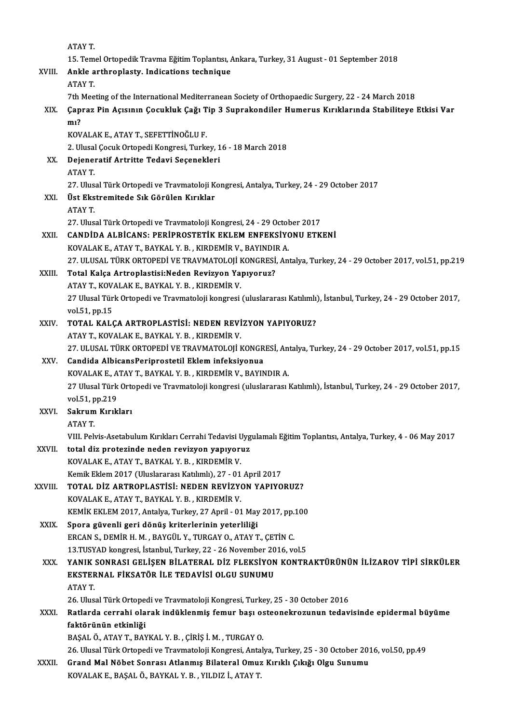|        | ATAY T                                                                                      |
|--------|---------------------------------------------------------------------------------------------|
|        | 15. Temel Ortopedik Travma Eğitim Toplantısı, Ankara, Turkey, 31 August - 01 September 2018 |
| XVIII. | Ankle arthroplasty. Indications technique                                                   |
|        | <b>ATAVT</b>                                                                                |

15. Tem<br>Ankle a<br>ATAY T.

Ankle arthroplasty. Indications technique<br>ATAY T.<br>7th Meeting of the International Mediterranean Society of Orthopaedic Surgery, 22 - 24 March 2018<br>Cannas Bin Acısının Cocukluk Cağı Tin 3 Sungakandilar Humarus Kırıklarında

## ATAY T.<br>7th Meeting of the International Mediterranean Society of Orthopaedic Surgery, 22 - 24 March 2018<br>XIX. Çapraz Pin Açısının Çocukluk Çağı Tip 3 Suprakondiler Humerus Kırıklarında Stabiliteye Etkisi Var<br>m1? 7th I<br>Çapı<br>mı?<br><sub>KOV</sub> Çapraz Pin Açısının Çocukluk Çağı T<br>mı?<br>KOVALAK E., ATAY T., SEFETTİNOĞLU F.<br>2. Ulucal Cosuk Ortonodi Konsresi Turk

mı?<br>KOVALAK E., ATAY T., SEFETTİNOĞLU F.<br>2. Ulusal Çocuk Ortopedi Kongresi, Turkey, 16 - 18 March 2018<br>Dejeneratif Artritte Tedevi Sesenekleri

## KOVALAK E., ATAY T., SEFETTİNOĞLU F.<br>2. Ulusal Çocuk Ortopedi Kongresi, Turkey, 1<br>XX. Dejeneratif Artritte Tedavi Seçenekleri<br>ATAY T. 2. Ulusal<br>Dejener<br>ATAY T.<br>27. Ulus

27. Ulusal Türk Ortopedi ve Travmatoloji Kongresi, Antalya, Turkey, 24 - 29 October 2017

ATAY T.<br>27. Ulusal Türk Ortopedi ve Travmatoloji K<br>XXI. Üst Ekstremitede Sık Görülen Kırıklar<br>4TAV T 27. Ulus<br>**Üst Eks**<br>ATAY T

Üst Ekstremitede Sık Görülen Kırıklar<br>ATAY T.<br>27. Ulusal Türk Ortopedi ve Travmatoloji Kongresi, 24 - 29 October 2017<br>CANDİDA ALBİCANS, PERİPROSTETİK EKLEM ENEEKSİYONU ETK

## ATAY T.<br>27. Ulusal Türk Ortopedi ve Travmatoloji Kongresi, 24 - 29 October 2017<br>XXII. CANDİDA ALBİCANS: PERİPROSTETİK EKLEM ENFEKSİYONU ETKENİ<br>KOVALAK E., ATAY T., BAYKAL Y. B. , KIRDEMİR V., BAYINDIR A. 27. Ulusal Türk Ortopedi ve Travmatoloji Kongresi, 24 - 29 Octo<mark>CANDIDA ALBICANS: PERIPROSTETIK EKLEM ENFEKSIY</mark><br>KOVALAK E., ATAY T., BAYKAL Y. B. , KIRDEMİR V., BAYINDIR A.<br>27. ULUSAL TÜRK ORTOPEDI VE TRAVMATOLOU KONGRESI,

```
27. ULUSAL TÜRK ORTOPEDİ VE TRAVMATOLOJİ KONGRESİ, Antalya, Turkey, 24 - 29 October 2017, vol.51, pp.219
```
### XXIII. Total Kalça Artroplastisi:Neden Revizyon Yapıyoruz? 27. ULUSAL TÜRK ORTOPEDİ VE TRAVMATOLOJİ I<br>Total Kalça Artroplastisi:Neden Revizyon Ya<br>ATAY T., KOVALAK E., BAYKAL Y. B. , KIRDEMİR V.<br>27 Huyal Türk Ortopedi ve Traumatoloji kanaresi 27 Ulusal Türk Ortopedi ve Travmatoloji kongresi (uluslararası Katılımlı), İstanbul, Turkey, 24 - 29 October 2017, vol.51, pp.15 ATAY T., KOV.<br>27 Ulusal Tür<br>vol.51, pp.15<br>TOTAL KAL6

# 27 Ulusal Türk Ortopedi ve Travmatoloji kongresi (uluslararası Katılımlı)<br>vol.51, pp.15<br>XXIV. TOTAL KALÇA ARTROPLASTİSİ: NEDEN REVİZYON YAPIYORUZ?<br>ATAV T. KOVALAKE RAYKAL V R. KIRDEMİR V. vol51, pp.15<br>**TOTAL KALÇA ARTROPLASTİSİ: NEDEN REVİ**<br>ATAY T., KOVALAK E., BAYKAL Y. B. , KIRDEMİR V.<br>27. ULUSAL TÜRK ORTOREDI VE TRAVMATOLOJI I

TOTAL KALÇA ARTROPLASTİSİ: NEDEN REVİZYON YAPIYORUZ?<br>ATAY T., KOVALAK E., BAYKAL Y. B. , KIRDEMİR V.<br>27. ULUSAL TÜRK ORTOPEDİ VE TRAVMATOLOJİ KONGRESİ, Antalya, Turkey, 24 - 29 October 2017, vol.51, pp.15<br>Candida AlbisansP

# ATAY T., KOVALAK E., BAYKAL Y. B. , KIRDEMİR V.<br>27. ULUSAL TÜRK ORTOPEDİ VE TRAVMATOLOJİ KONGR<br>XXV. Candida AlbicansPeriprostetil Eklem infeksiyonua<br>2007ALAK E. ATAY T. BAYKAL Y. B., KIBDEMİR V. BAYIN

27. ULUSAL TÜRK ORTOPEDİ VE TRAVMATOLOJİ KONGRESİ, Antandida AlbicansPeriprostetil Eklem infeksiyonua<br>KOVALAK E., ATAY T., BAYKAL Y. B. , KIRDEMİR V., BAYINDIR A.<br>27 Huyal Türk Ortopedi ve Traymatoloji kongresi (uluslarara 27U. Candida AlbicansPeriprostetil Eklem infeksiyonua<br>27 KOVALAK E., ATAY T., BAYKAL Y. B. , KIRDEMİR V., BAYINDIR A.<br>27 Ulusal Türk Ortopedi ve Travmatoloji kongresi (uluslararası Katılımlı), İstanbul, Turkey, 24 - 29 Oct KOVALAK E., ATAY T., BAYKAL Y. B., KIRDEMİR V., BAYINDIR A. vol 51, pp 219

### XXVI. Sakrum Kırıkları<br>ATAY T.

VIII. Pelvis-Asetabulum Kırıkları Cerrahi Tedavisi Uygulamalı Eğitim Toplantısı, Antalya, Turkey, 4 - 06 May 2017

### ATAY T.<br>VIII. Pelvis-Asetabulum Kırıkları Cerrahi Tedavisi Uyg<br>XXVII. total diz protezinde neden revizyon yapıyoruz<br>VOVALAK E. ATAY T. BAYKAL Y. B. KIRDEMİR V. VIII. Pelvis-Asetabulum Kırıkları Cerrahi Tedavisi U<br>total diz protezinde neden revizyon yapıyorı<br>KOVALAK E., ATAY T., BAYKAL Y. B. , KIRDEMİR V.<br>Kamil: Eldam 2017 (Uluslararası Katılımlı) 27., 01. total diz protezinde neden revizyon yapıyoruz<br>KOVALAK E., ATAY T., BAYKAL Y. B. , KIRDEMİR V.<br>Kemik Eklem 2017 (Uluslararası Katılımlı), 27 - 01 April 2017<br>TOTAL DİZ ARTRORLASTİSİ, NEDEN REVİZVON YARIYO KOVALAK E., ATAY T., BAYKAL Y. B. , KIRDEMİR V.<br>Kemik Eklem 2017 (Uluslararası Katılımlı), 27 - 01 April 2017<br>XXVIII. TOTAL DİZ ARTROPLASTİSİ: NEDEN REVİZYON YAPIYORUZ?<br>KOVALAK E. ATAY'T. BAYKAL V. B., KIRDEMİR V.

# Kemik Eklem 2017 (Uluslararası Katılımlı), 27 - 01<br>**TOTAL DİZ ARTROPLASTİSİ: NEDEN REVİZYOR**<br>KOVALAK E., ATAY T., BAYKAL Y. B. , KIRDEMİR V.<br>KEMİK EKLEM 2017, Antalya Turkay, 27 Anril , 01 TOTAL DİZ ARTROPLASTİSİ: NEDEN REVİZYON YAPIYORUZ?<br>KOVALAK E., ATAY T., BAYKAL Y. B. , KIRDEMİR V.<br>KEMİK EKLEM 2017, Antalya, Turkey, 27 April - 01 May 2017, pp.100<br>Spora güyenli gori dönüş kritorlerinin yeterliliği

## KOVALAK E., ATAY T., BAYKAL Y. B., KIRDEMİR V.<br>KEMİK EKLEM 2017, Antalya, Turkey, 27 April - 01 May<br>XXIX. Spora güvenli geri dönüş kriterlerinin yeterliliği KEMİK EKLEM 2017, Antalya, Turkey, 27 April - 01 May 2017, pp.<br>Spora güvenli geri dönüş kriterlerinin yeterliliği<br>ERCAN S., DEMİR H. M. , BAYGÜL Y., TURGAY O., ATAY T., ÇETİN C.<br>12 TUSYAD kongresi İstanbul Turkey, 22, 26 N Spora güvenli geri dönüş kriterlerinin yeterliliği<br>ERCAN S., DEMİR H. M. , BAYGÜL Y., TURGAY O., ATAY T., ÇETİN C.<br>13.TUSYAD kongresi, İstanbul, Turkey, 22 - 26 November 2016, vol.5<br>YANIK SONBASI CELİSEN BİLATERAL DİZ ELEK

### ERCAN S., DEMİR H. M. , BAYGÜL Y., TURGAY O., ATAY T., ÇETİN C.<br>13.TUSYAD kongresi, İstanbul, Turkey, 22 - 26 November 2016, vol.5<br>XXX. YANIK SONRASI GELİŞEN BİLATERAL DİZ FLEKSİYON KONTRAKTÜRÜNÜN İLİZAROV TİPİ SİRKÜLE 13.TUSYAD kongresi, İstanbul, Turkey, 22 - 26 November 20<br>YANIK SONRASI GELİŞEN BİLATERAL DİZ FLEKSİYON<br>EKSTERNAL FİKSATÖR İLE TEDAVİSİ OLGU SUNUMU<br>ATAV T **YANIK:<br>EKSTEF<br>ATAY T** EKSTERNAL FİKSATÖR İLE TEDAVİSİ OLGU SUNUMU<br>ATAY T.<br>26. Ulusal Türk Ortopedi ve Travmatoloji Kongresi, Turkey, 25 - 30 October 2016<br>Batlarda serrebi olarak indüklenmiş fomur bası esteenekresunun tedev

## ATAY T.<br>26. Ulusal Türk Ortopedi ve Travmatoloji Kongresi, Turkey, 25 - 30 October 2016<br>XXXI. Ratlarda cerrahi olarak indüklenmiş femur başı osteonekrozunun tedavisinde epidermal büyüme<br>faktörünün etkinliği 26. Ulusal Türk Ortope<br><mark>Ratlarda cerrahi ola</mark><br>faktörünün etkinliği<br>PASAL Ö. ATAVT PAN

BAŞALÖ.,ATAYT.,BAYKAL Y.B. ,ÇİRİŞ İ.M. ,TURGAYO.

26. Ulusal Türk Ortopedi ve Travmatoloji Kongresi, Antalya, Turkey, 25 - 30 October 2016, vol.50, pp.49

BAŞAL Ö., ATAY T., BAYKAL Y. B. , ÇİRİŞ İ. M. , TURGAY O.<br>26. Ulusal Türk Ortopedi ve Travmatoloji Kongresi, Antalya, Turkey, 25 - 30 October 2012<br>XXXII. Grand Mal Nöbet Sonrası Atlanmış Bilateral Omuz Kırıklı Çıkığı O 26. Ulusal Türk Ortopedi ve Travmatoloji Kongresi, Anta<br><mark>Grand Mal Nöbet Sonrası Atlanmış Bilateral Omuz</mark><br>KOVALAK E., BAŞAL Ö., BAYKAL Y. B. , YILDIZ İ., ATAY T.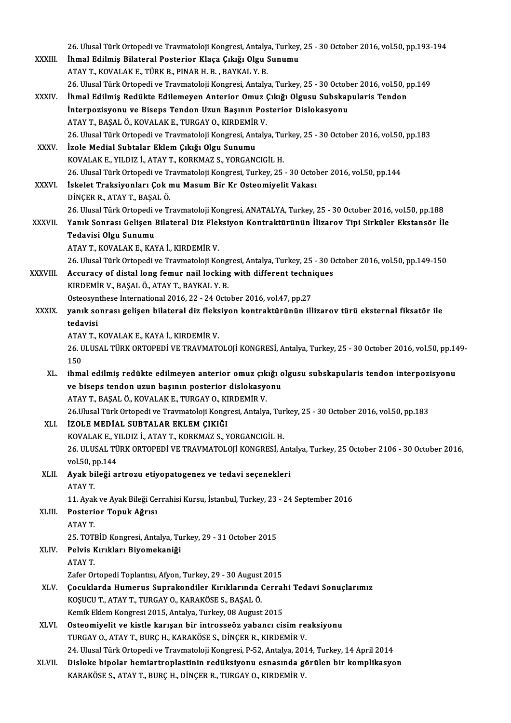|              | 26. Ulusal Türk Ortopedi ve Travmatoloji Kongresi, Antalya, Turkey, 25 - 30 October 2016, vol.50, pp.193-194          |
|--------------|-----------------------------------------------------------------------------------------------------------------------|
| XXXIII.      | İhmal Edilmiş Bilateral Posterior Klaça Çıkığı Olgu Sunumu                                                            |
|              | ATAY T., KOVALAK E., TÜRK B., PINAR H. B., BAYKAL Y. B.                                                               |
|              | 26. Ulusal Türk Ortopedi ve Travmatoloji Kongresi, Antalya, Turkey, 25 - 30 October 2016, vol.50, pp.149              |
| XXXIV.       | İhmal Edilmiş Redükte Edilemeyen Anterior Omuz Çıkığı Olgusu Subskapularis Tendon                                     |
|              | İnterpozisyonu ve Biseps Tendon Uzun Başının Posterior Dislokasyonu                                                   |
|              | ATAY T., BAŞAL Ö., KOVALAK E., TURGAY O., KIRDEMİR V.                                                                 |
|              | 26. Ulusal Türk Ortopedi ve Travmatoloji Kongresi, Antalya, Turkey, 25 - 30 October 2016, vol.50, pp.183              |
| <b>XXXV</b>  | İzole Medial Subtalar Eklem Çıkığı Olgu Sunumu                                                                        |
|              | KOVALAK E., YILDIZ İ., ATAY T., KORKMAZ S., YORGANCIGİL H.                                                            |
|              | 26. Ulusal Türk Ortopedi ve Travmatoloji Kongresi, Turkey, 25 - 30 October 2016, vol 50, pp.144                       |
| <b>XXXVI</b> | İskelet Traksiyonları Çok mu Masum Bir Kr Osteomiyelit Vakası                                                         |
|              | DİNÇER R., ATAY T., BAŞAL Ö.                                                                                          |
|              | 26. Ulusal Türk Ortopedi ve Travmatoloji Kongresi, ANATALYA, Turkey, 25 - 30 October 2016, vol.50, pp.188             |
| XXXVII.      | Yanık Sonrası Gelişen Bilateral Diz Fleksiyon Kontraktürünün İlizarov Tipi Sirküler Ekstansör İle                     |
|              | Tedavisi Olgu Sunumu                                                                                                  |
|              | ATAY T., KOVALAK E., KAYA İ., KIRDEMİR V.                                                                             |
|              | 26. Ulusal Türk Ortopedi ve Travmatoloji Kongresi, Antalya, Turkey, 25 - 30 October 2016, vol.50, pp.149-150          |
| XXXVIII.     | Accuracy of distal long femur nail locking with different techniques                                                  |
|              | KIRDEMİR V., BAŞAL Ö., ATAY T., BAYKAL Y. B.<br>Osteosynthese International 2016, 22 - 24 October 2016, vol.47, pp.27 |
| <b>XXXIX</b> | yanık sonrası gelişen bilateral diz fleksiyon kontraktürünün illizarov türü eksternal fiksatör ile                    |
|              | tedavisi                                                                                                              |
|              | ATAY T., KOVALAK E., KAYA İ., KIRDEMİR V.                                                                             |
|              | 26. ULUSAL TÜRK ORTOPEDİ VE TRAVMATOLOJİ KONGRESİ, Antalya, Turkey, 25 - 30 October 2016, vol 50, pp.149-             |
|              | 150                                                                                                                   |
| XL.          | ihmal edilmiş redükte edilmeyen anterior omuz çıkığı olgusu subskapularis tendon interpozisyonu                       |
|              | ve biseps tendon uzun başının posterior dislokasyonu                                                                  |
|              | ATAY T. BASAL Ö. KOVALAK E. TURGAY O. KIRDEMİR V.                                                                     |
|              | 26. Ulusal Türk Ortopedi ve Travmatoloji Kongresi, Antalya, Turkey, 25 - 30 October 2016, vol.50, pp.183              |
| XLI.         | İZOLE MEDİAL SUBTALAR EKLEM ÇIKIĞI                                                                                    |
|              | KOVALAK E., YILDIZ İ., ATAY T., KORKMAZ S., YORGANCIGİL H.                                                            |
|              | 26. ULUSAL TÜRK ORTOPEDİ VE TRAVMATOLOJİ KONGRESİ, Antalya, Turkey, 25 October 2106 - 30 October 2016,                |
|              | vol 50, pp 144                                                                                                        |
| XLII.        | Ayak bileği artrozu etiyopatogenez ve tedavi seçenekleri                                                              |
|              | ATAY T.                                                                                                               |
|              | 11. Ayak ve Ayak Bileği Cerrahisi Kursu, İstanbul, Turkey, 23 - 24 September 2016                                     |
| XLIII.       | Posterior Topuk Ağrısı                                                                                                |
|              | ATAY T.                                                                                                               |
|              | 25. TOTBİD Kongresi, Antalya, Turkey, 29 - 31 October 2015                                                            |
| XLIV.        | Pelvis Kırıkları Biyomekaniği                                                                                         |
|              | <b>ATAY T</b><br>Zafer Ortopedi Toplantısı, Afyon, Turkey, 29 - 30 August 2015                                        |
| XLV.         | Çocuklarda Humerus Suprakondiler Kırıklarında Cerrahi Tedavi Sonuçlarımız                                             |
|              | KOŞUCU T., ATAY T., TURGAY O., KARAKÖSE S., BAŞAL Ö.                                                                  |
|              | Kemik Eklem Kongresi 2015, Antalya, Turkey, 08 August 2015                                                            |
| XLVI.        | Osteomiyelit ve kistle karışan bir introsseöz yabancı cisim reaksiyonu                                                |
|              | TURGAY O., ATAY T., BURÇ H., KARAKÖSE S., DİNÇER R., KIRDEMİR V.                                                      |
|              | 24. Ulusal Türk Ortopedi ve Travmatoloji Kongresi, P-52, Antalya, 2014, Turkey, 14 April 2014                         |
| XLVII.       | Disloke bipolar hemiartroplastinin redüksiyonu esnasında görülen bir komplikasyon                                     |
|              | KARAKÖSE S., ATAY T., BURÇ H., DİNÇER R., TURGAY O., KIRDEMİR V.                                                      |
|              |                                                                                                                       |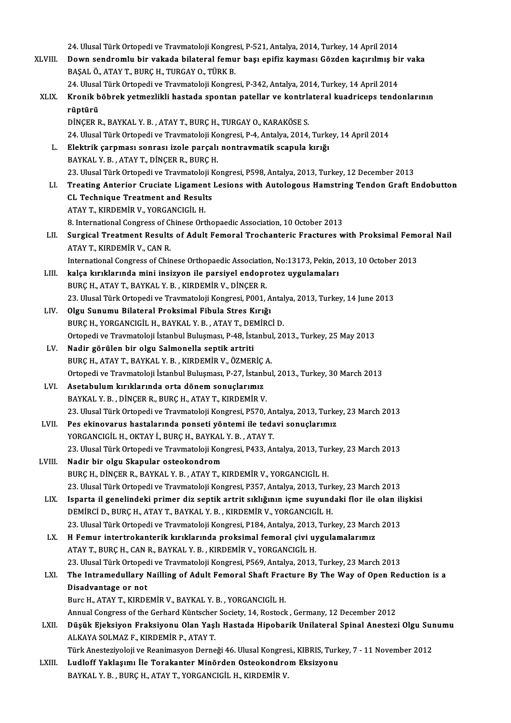- 24. Ulusal Türk Ortopedi ve Travmatoloji Kongresi, P-521, Antalya, 2014, Turkey, 14 April 2014 24. Ulusal Türk Ortopedi ve Travmatoloji Kongresi, P-521, Antalya, 2014, Turkey, 14 April 2014<br>XLVIII. Down sendromlu bir vakada bilateral femur başı epifiz kayması Gözden kaçırılmış bir vaka 24. Ulusal Türk Ortopedi ve Travmatoloji Kongre<br>Down sendromlu bir vakada bilateral femu<br>BAŞAL Ö., ATAY T., BURÇ H., TURGAY O., TÜRK B.<br>24. Ulusal Türk Ortopedi ve Traumatoloji Kongre Down sendromlu bir vakada bilateral femur başı epifiz kayması Gözden kaçırılmış bi<br>BAŞAL Ö., ATAY T., BURÇ H., TURGAY O., TÜRK B.<br>24. Ulusal Türk Ortopedi ve Travmatoloji Kongresi, P-342, Antalya, 2014, Turkey, 14 April 20 BAŞAL Ö., ATAY T., BURÇ H., TURGAY O., TÜRK B.<br>24. Ulusal Türk Ortopedi ve Travmatoloji Kongresi, P-342, Antalya, 2014, Turkey, 14 April 2014<br>XLIX. Kronik böbrek yetmezlikli hastada spontan patellar ve kontrlateral kua 24. Ulusal Türk Ortopedi ve Travmatoloji Kongresi, P-342, Antalya, 2014, Turkey, 14 April 2014<br>Kronik böbrek yetmezlikli hastada spontan patellar ve kontrlateral kuadriceps tende<br>rüptürü<br>DİNÇER R., BAYKAL Y. B. , ATAY T., Kronik böbrek yetmezlikli hastada spontan patellar ve kontrla<br>rüptürü<br>DİNÇER R., BAYKAL Y.B. , ATAY T., BURÇ H., TURGAY O., KARAKÖSE S.<br>24 Ulucal Türk Ortopedi ve Traymatoloji Kongresi B.4 Antalya 2014 24.UlusalTürkOrtopediveTravmatolojiKongresi,P-4,Antalya,2014,Turkey,14April2014 DINÇER R., BAYKAL Y. B. , ATAY T., BURÇ H., TURGAY O., KARAKÖSE S.<br>24. Ulusal Türk Ortopedi ve Travmatoloji Kongresi, P-4, Antalya, 2014, Turko<br>1. Elektrik çarpması sonrası izole parçalı nontravmatik scapula kırığı<br>PAYKAL 24. Ulusal Türk Ortopedi ve Travmatoloji Ko<br><mark>Elektrik çarpması sonrası izole parçalı</mark><br>BAYKAL Y. B. , ATAY T., DİNÇER R., BURÇ H.<br>22. Ulusal Türk Ortopedi ve Travmatoloji Ko Elektrik çarpması sonrası izole parçalı nontravmatik scapula kırığı<br>BAYKAL Y. B., ATAY T., DİNÇER R., BURÇ H.<br>23. Ulusal Türk Ortopedi ve Travmatoloji Kongresi, P598, Antalya, 2013, Turkey, 12 December 2013<br>Treating Anteri BAYKAL Y. B. , ATAY T., DİNÇER R., BURÇ H.<br>23. Ulusal Türk Ortopedi ve Travmatoloji Kongresi, P598, Antalya, 2013, Turkey, 12 December 2013<br>LI. Treating Anterior Cruciate Ligament Lesions with Autologous Hamstring Tend 23. Ulusal Türk Ortopedi ve Travmatoloji F<br>Treating Anterior Cruciate Ligament<br>CL Technique Treatment and Results<br>ATAV T. KIRREMIR V. VORCANCICIL H ATAYT.,KIRDEMİRV.,YORGANCIGİLH. CL Technique Treatment and Results<br>ATAY T., KIRDEMİR V., YORGANCIGİL H.<br>8. International Congress of Chinese Orthopaedic Association, 10 October 2013<br>Sungical Treatment Besults of Adult Femeral Treabentaria Fregtures v. ATAY T., KIRDEMİR V., YORGANCIGİL H.<br>8. International Congress of Chinese Orthopaedic Association, 10 October 2013<br>LII. Surgical Treatment Results of Adult Femoral Trochanteric Fractures with Proksimal Femoral Nail<br>ATA
	- **8. International Congress of Cl<br>Surgical Treatment Results<br>ATAY T., KIRDEMİR V., CAN R.**<br>International Congress of Chir Surgical Treatment Results of Adult Femoral Trochanteric Fractures with Proksimal Femore<br>ATAY T., KIRDEMİR V., CAN R.<br>International Congress of Chinese Orthopaedic Association, No:13173, Pekin, 2013, 10 October 2013<br>Italsa ATAY T., KIRDEMİR V., CAN R.<br>International Congress of Chinese Orthopaedic Association, No:13173, Pekin, 2013, 10 October 2013<br>LIII. kalça kırıklarında mini insizyon ile parsiyel endoprotez uygulamaları
	- International Congress of Chinese Orthopaedic Association<br>Kalça kırıklarında mini insizyon ile parsiyel endopr<br>BURÇ H., ATAY T., BAYKAL Y. B. , KIRDEMİR V., DİNÇER R.<br>22 Hlusel Türk Ortenedi ve Traymateleji Kongresi, P001 kalça kırıklarında mini insizyon ile parsiyel endoprotez uygulamaları<br>BURÇ H., ATAY T., BAYKAL Y. B. , KIRDEMİR V., DİNÇER R.<br>23. Ulusal Türk Ortopedi ve Travmatoloji Kongresi, P001, Antalya, 2013, Turkey, 14 June 2013<br>Ola BURÇ H., ATAY T., BAYKAL Y. B., KIRDEMİR V., DİNÇER R.<br>23. Ulusal Türk Ortopedi ve Travmatoloji Kongresi, P001, A<br>LIV. Olgu Sunumu Bilateral Proksimal Fibula Stres Kırığı<br>PURC H. YORCANCICİL H. BAYKAL Y. B., ATAY T. DEMİRC
	- 23. Ulusal Türk Ortopedi ve Travmatoloji Kongresi, P001, Antal<br>Olgu Sunumu Bilateral Proksimal Fibula Stres Kırığı<br>BURÇ H., YORGANCIGİL H., BAYKAL Y. B. , ATAY T., DEMİRCİ D.<br>Ortopedi ve Traumatoloji İstanbul Bulusması, B. Olgu Sunumu Bilateral Proksimal Fibula Stres Kırığı<br>BURÇ H., YORGANCIGİL H., BAYKAL Y. B. , ATAY T., DEMİRCİ D.<br>Ortopedi ve Travmatoloji İstanbul Buluşması, P-48, İstanbul, 2013., Turkey, 25 May 2013<br>Nadir görülen bir olay BURÇ H., YORGANCIGİL H., BAYKAL Y. B. , ATAY T., DEMİRCİ D.<br>Ortopedi ve Travmatoloji İstanbul Buluşması, P-48, İstanbul, 20<br>LV. Nadir görülen bir olgu Salmonella septik artriti
	- Ortopedi ve Travmatoloji İstanbul Buluşması, P-48, İstanbul<br><mark>Nadir görülen bir olgu Salmonella septik artriti</mark><br>BURÇ H., ATAY T., BAYKAL Y. B. , KIRDEMİR V., ÖZMERİÇ A.<br>Ortopedi ve Travmatoloji İstanbul Buluşması, B.27, İst Ortopedi ve Travmatoloji İstanbul Buluşması, P-27, İstanbul, 2013., Turkey, 30 March 2013<br>Asetabulum kırıklarında orta dönem sonuçlarımız BURÇ H., ATAY T., BAYKAL Y. B., KIRDEMİR V., ÖZMERİÇ A.<br>Ortopedi ve Travmatoloji İstanbul Buluşması, P-27, İstanbul<br>LVI. Asetabulum kırıklarında orta dönem sonuçlarımız
	- BAYKAL Y.B., DİNÇER R., BURÇ H., ATAY T., KIRDEMİR V. Asetabulum kırıklarında orta dönem sonuçlarımız<br>BAYKAL Y. B. , DİNÇER R., BURÇ H., ATAY T., KIRDEMİR V.<br>23. Ulusal Türk Ortopedi ve Travmatoloji Kongresi, P570, Antalya, 2013, Turkey, 23 March 2013<br>Pes ekinovarus bastaları BAYKAL Y. B., DİNÇER R., BURÇ H., ATAY T., KIRDEMİR V.<br>23. Ulusal Türk Ortopedi ve Travmatoloji Kongresi, P570, Antalya, 2013, Turke<br>LVII. Pes ekinovarus hastalarında ponseti yöntemi ile tedavi sonuçlarımız<br>YORCANCICİL H.
	- 23. Ulusal Türk Ortopedi ve Travmatoloji Kongresi, P570, Ar<br>Pes ekinovarus hastalarında ponseti yöntemi ile teda<br>YORGANCIGİL H., OKTAY İ., BURÇ H., BAYKAL Y. B. , ATAY T.<br>22. Ulusal Türk Ortopedi ve Travmatoloji Kongresi, Pes ekinovarus hastalarında ponseti yöntemi ile tedavi sonuçlarımız<br>YORGANCIGİL H., OKTAY İ., BURÇ H., BAYKAL Y. B. , ATAY T.<br>23. Ulusal Türk Ortopedi ve Travmatoloji Kongresi, P433, Antalya, 2013, Turkey, 23 March 2013<br>Na YORGANCIGİL H., OKTAY İ., BURÇ H., BAYKAL<br>23. Ulusal Türk Ortopedi ve Travmatoloji Kon<br>LVIII. Nadir bir olgu Skapular osteokondrom<br>PURC H. DİNCER R. BAYKAL V. B. ATAY T. L
	- BURÇH., DİNÇER R., BAYKAL Y.B., ATAY T., KIRDEMİR V., YORGANCIGİL H. 23. Ulusal Türk Ortopedi ve Travmatoloji Kongresi, P357, Antalya, 2013, Turkey, 23 March 2013 BURÇ H., DİNÇER R., BAYKAL Y. B. , ATAY T., KIRDEMİR V., YORGANCIGİL H.<br>23. Ulusal Türk Ortopedi ve Travmatoloji Kongresi, P357, Antalya, 2013, Turkey, 23 March 2013<br>LIX. Isparta il genelindeki primer diz septik artrit sık
		- DEMİRCİ D., BURÇ H., ATAY T., BAYKAL Y. B., KIRDEMİR V., YORGANCIGİL H. Isparta il genelindeki primer diz septik artrit sıklığının içme suyundaki flor ile olan il<br>DEMİRCİ D., BURÇ H., ATAY T., BAYKAL Y. B. , KIRDEMİR V., YORGANCIGİL H.<br>23. Ulusal Türk Ortopedi ve Travmatoloji Kongresi, P184, A 23. Ulusal Türk Ortopedi ve Travmatoloji Kongresi, P184, Antalya, 2013, Turkey, 23 March 2013<br>LX. H Femur intertrokanterik kırıklarında proksimal femoral çivi uygulamalarımız
		- ATAYT.,BURÇH.,CANR.,BAYKAL Y.B. ,KIRDEMİRV.,YORGANCIGİLH. H Femur intertrokanterik kırıklarında proksimal femoral çivi uygulamalarımız<br>ATAY T., BURÇ H., CAN R., BAYKAL Y. B. , KIRDEMİR V., YORGANCIGİL H.<br>23. Ulusal Türk Ortopedi ve Travmatoloji Kongresi, P569, Antalya, 2013, Turk ATAY T., BURÇ H., CAN R., BAYKAL Y. B. , KIRDEMİR V., YORGANCIGİL H.<br>23. Ulusal Türk Ortopedi ve Travmatoloji Kongresi, P569, Antalya, 2013, Turkey, 23 March 2013<br>LXI. The Intramedullary Nailling of Adult Femoral Shaft

### 23. Ulusal Türk Ortoped<br>The Intramedullary I<br>Disadvantage or not<br>Bure H. ATAV T. KIBDE The Intramedullary Nailling of Adult Femoral Shaft Frac<br>Disadvantage or not<br>Burc H., ATAY T., KIRDEMİR V., BAYKAL Y.B. , YORGANCIGİL H.<br>Annual Congress of the Cerbard Küntseber Sesiaty 14. Besteck Disadvantage or not<br>Burc H., ATAY T., KIRDEMİR V., BAYKAL Y. B. , YORGANCIGİL H.<br>Annual Congress of the Gerhard Küntscher Society, 14, Rostock , Germany, 12 December 2012

Burc H., ATAY T., KIRDEMİR V., BAYKAL Y. B. , YORGANCIGİL H.<br>Annual Congress of the Gerhard Küntscher Society, 14, Rostock , Germany, 12 December 2012<br>LXII. Düşük Ejeksiyon Fraksiyonu Olan Yaşlı Hastada Hipobarik Unila Annual Congress of the Gerhard Küntscher<br>Düşük Ejeksiyon Fraksiyonu Olan Yaşl<br>ALKAYA SOLMAZ F., KIRDEMİR P., ATAY T.<br>Türk Anesteriyeleji ve Beanimesyon Denne Düşük Ejeksiyon Fraksiyonu Olan Yaşlı Hastada Hipobarik Unilateral Spinal Anestezi Olgu Sur<br>ALKAYA SOLMAZ F., KIRDEMİR P., ATAY T.<br>Türk Anesteziyoloji ve Reanimasyon Derneği 46. Ulusal Kongresi., KIBRIS, Turkey, 7 - 11 Nov

ALKAYA SOLMAZ F., KIRDEMİR P., ATAY T.<br>Türk Anesteziyoloji ve Reanimasyon Derneği 46. Ulusal Kongresi., KIBRIS, Turk<br>LXIII. Ludloff Yaklaşımı İle Torakanter Minörden Osteokondrom Eksizyonu<br>PAVKAL V. B., BURC H. ATAY T. Türk Anesteziyoloji ve Reanimasyon Derneği 46. Ulusal Kongres<br>Ludloff Yaklaşımı İle Torakanter Minörden Osteokondro<br>BAYKAL Y. B. , BURÇ H., ATAY T., YORGANCIGİL H., KIRDEMİR V.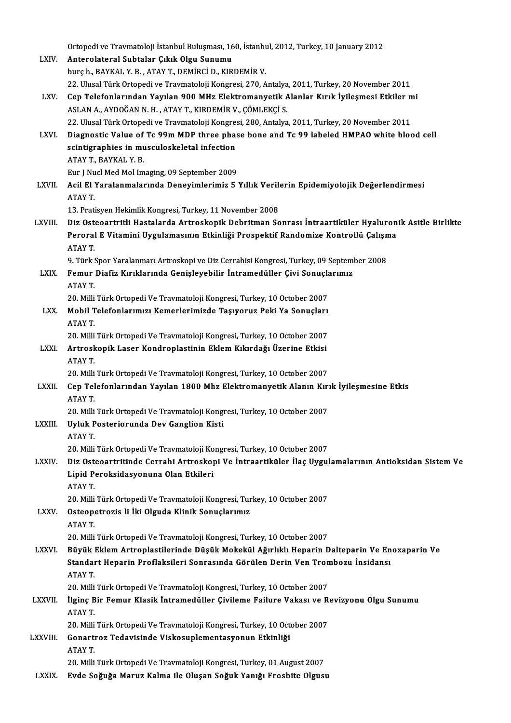|               | Ortopedi ve Travmatoloji İstanbul Buluşması, 160, İstanbul, 2012, Turkey, 10 January 2012                                                   |
|---------------|---------------------------------------------------------------------------------------------------------------------------------------------|
| LXIV.         | Anterolateral Subtalar Çıkık Olgu Sunumu                                                                                                    |
|               | burç h., BAYKAL Y. B., ATAY T., DEMİRCİ D., KIRDEMİR V.                                                                                     |
|               | 22. Ulusal Türk Ortopedi ve Travmatoloji Kongresi, 270, Antalya, 2011, Turkey, 20 November 2011                                             |
| LXV.          | Cep Telefonlarından Yayılan 900 MHz Elektromanyetik Alanlar Kırık İyileşmesi Etkiler mi                                                     |
|               | ASLAN A., AYDOĞAN N. H. , ATAY T., KIRDEMİR V., ÇÖMLEKÇİ S.                                                                                 |
|               | 22. Ulusal Türk Ortopedi ve Travmatoloji Kongresi, 280, Antalya, 2011, Turkey, 20 November 2011                                             |
| LXVI.         | Diagnostic Value of Tc 99m MDP three phase bone and Tc 99 labeled HMPAO white blood cell                                                    |
|               | scintigraphies in musculoskeletal infection                                                                                                 |
|               | ATAY T, BAYKAL Y B<br>Eur J Nucl Med Mol Imaging, 09 September 2009                                                                         |
| LXVII.        | Acil El Yaralanmalarında Deneyimlerimiz 5 Yıllık Verilerin Epidemiyolojik Değerlendirmesi                                                   |
|               | ATAY T.                                                                                                                                     |
|               | 13. Pratisyen Hekimlik Kongresi, Turkey, 11 November 2008                                                                                   |
| LXVIII.       | Diz Osteoartritli Hastalarda Artroskopik Debritman Sonrası İntraartiküler Hyaluronik Asitle Birlikte                                        |
|               | Peroral E Vitamini Uygulamasının Etkinliği Prospektif Randomize Kontrollü Çalışma                                                           |
|               | ATAY T                                                                                                                                      |
|               | 9. Türk Spor Yaralanmarı Artroskopi ve Diz Cerrahisi Kongresi, Turkey, 09 September 2008                                                    |
| LXIX.         | Femur Diafiz Kırıklarında Genişleyebilir İntramedüller Çivi Sonuçlarımız                                                                    |
|               | ATAY T.                                                                                                                                     |
|               | 20. Milli Türk Ortopedi Ve Travmatoloji Kongresi, Turkey, 10 October 2007                                                                   |
| LXX.          | Mobil Telefonlarımızı Kemerlerimizde Taşıyoruz Peki Ya Sonuçları<br>ATAY T.                                                                 |
|               | 20. Milli Türk Ortopedi Ve Travmatoloji Kongresi, Turkey, 10 October 2007                                                                   |
| LXXI.         | Artroskopik Laser Kondroplastinin Eklem Kıkırdağı Üzerine Etkisi                                                                            |
|               | ATAY T.                                                                                                                                     |
|               | 20. Milli Türk Ortopedi Ve Travmatoloji Kongresi, Turkey, 10 October 2007                                                                   |
| LXXII.        | Cep Telefonlarından Yayılan 1800 Mhz Elektromanyetik Alanın Kırık İyileşmesine Etkis                                                        |
|               | ATAY T.                                                                                                                                     |
|               | 20. Milli Türk Ortopedi Ve Travmatoloji Kongresi, Turkey, 10 October 2007                                                                   |
| <b>LXXIII</b> | Uyluk Posteriorunda Dev Ganglion Kisti                                                                                                      |
|               | ATAY T                                                                                                                                      |
|               | 20. Milli Türk Ortopedi Ve Travmatoloji Kongresi, Turkey, 10 October 2007                                                                   |
| <b>LXXIV</b>  | Diz Osteoartritinde Cerrahi Artroskopi Ve İntraartiküler İlaç Uygulamalarının Antioksidan Sistem Ve<br>Lipid Peroksidasyonuna Olan Etkileri |
|               | ATAY T                                                                                                                                      |
|               | 20. Milli Türk Ortopedi Ve Travmatoloji Kongresi, Turkey, 10 October 2007                                                                   |
| <b>LXXV</b>   | Osteopetrozis li İki Olguda Klinik Sonuçlarımız                                                                                             |
|               | ATAY T                                                                                                                                      |
|               | 20. Milli Türk Ortopedi Ve Travmatoloji Kongresi, Turkey, 10 October 2007                                                                   |
| <b>LXXVI</b>  | Büyük Eklem Artroplastilerinde Düşük Mokekül Ağırlıklı Heparin Dalteparin Ve Enoxaparin Ve                                                  |
|               | Standart Heparin Proflaksileri Sonrasında Görülen Derin Ven Trombozu İnsidansı                                                              |
|               | ATAY T                                                                                                                                      |
|               | 20. Milli Türk Ortopedi Ve Travmatoloji Kongresi, Turkey, 10 October 2007                                                                   |
| <b>LXXVII</b> | İlginç Bir Femur Klasik İntramedüller Çivileme Failure Vakası ve Revizyonu Olgu Sunumu                                                      |
|               | ATAY T<br>20. Milli Türk Ortopedi Ve Travmatoloji Kongresi, Turkey, 10 October 2007                                                         |
| LXXVIII.      | Gonartroz Tedavisinde Viskosuplementasyonun Etkinliği                                                                                       |
|               | ATAY T                                                                                                                                      |
|               | 20. Milli Türk Ortopedi Ve Travmatoloji Kongresi, Turkey, 01 August 2007                                                                    |
| <b>LXXIX</b>  | Evde Soğuğa Maruz Kalma ile Oluşan Soğuk Yanığı Frosbite Olgusu                                                                             |
|               |                                                                                                                                             |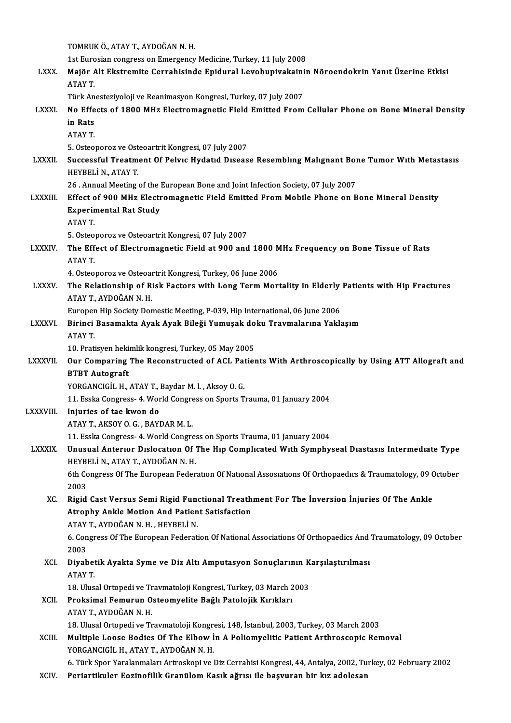|                | TOMRUK Ö., ATAY T., AYDOĞAN N.H.                                                                                              |
|----------------|-------------------------------------------------------------------------------------------------------------------------------|
|                | 1st Eurosian congress on Emergency Medicine, Turkey, 11 July 2008                                                             |
| <b>LXXX</b>    | Majör Alt Ekstremite Cerrahisinde Epidural Levobupivakainin Nöroendokrin Yanıt Üzerine Etkisi                                 |
|                | ATAY T.                                                                                                                       |
|                | Türk Anesteziyoloji ve Reanimasyon Kongresi, Turkey, 07 July 2007                                                             |
| <b>LXXXI</b>   | No Effects of 1800 MHz Electromagnetic Field Emitted From Cellular Phone on Bone Mineral Density                              |
|                | in Rats                                                                                                                       |
|                | <b>ATAY T</b>                                                                                                                 |
|                | 5. Osteoporoz ve Osteoartrit Kongresi, 07 July 2007                                                                           |
| <b>LXXXII</b>  | Successful Treatment Of Pelvic Hydatid Disease Resembling Malignant Bone Tumor With Metastasis                                |
|                | HEYBELİ N., ATAY T.                                                                                                           |
|                | 26 . Annual Meeting of the European Bone and Joint Infection Society, 07 July 2007                                            |
| <b>LXXXIII</b> | Effect of 900 MHz Electromagnetic Field Emitted From Mobile Phone on Bone Mineral Density                                     |
|                | <b>Experimental Rat Study</b><br>ATAY T.                                                                                      |
|                | 5. Osteoporoz ve Osteoartrit Kongresi, 07 July 2007                                                                           |
| <b>LXXXIV.</b> | The Effect of Electromagnetic Field at 900 and 1800 MHz Frequency on Bone Tissue of Rats                                      |
|                | ATAY T.                                                                                                                       |
|                | 4. Osteoporoz ve Osteoartrit Kongresi, Turkey, 06 June 2006                                                                   |
| <b>LXXXV</b>   | The Relationship of Risk Factors with Long Term Mortality in Elderly Patients with Hip Fractures                              |
|                | ATAY T., AYDOĞAN N.H.                                                                                                         |
|                | Europen Hip Society Domestic Meeting, P-039, Hip International, 06 June 2006                                                  |
| <b>LXXXVI.</b> | Birinci Basamakta Ayak Ayak Bileği Yumuşak doku Travmalarına Yaklaşım                                                         |
|                | ATAY T.                                                                                                                       |
|                | 10. Pratisyen hekimlik kongresi, Turkey, 05 May 2005                                                                          |
| <b>LXXXVII</b> | Our Comparing The Reconstructed of ACL Patients With Arthroscopically by Using ATT Allograft and                              |
|                | <b>BTBT</b> Autograft                                                                                                         |
|                | YORGANCIGİL H., ATAY T., Baydar M. l., Aksoy O. G.<br>11. Esska Congress- 4. World Congress on Sports Trauma, 01 January 2004 |
| LXXXVIII.      | Injuries of tae kwon do                                                                                                       |
|                | ATAY T, AKSOY O. G., BAYDAR M. L.                                                                                             |
|                | 11. Esska Congress- 4. World Congress on Sports Trauma, 01 January 2004                                                       |
| <b>LXXXIX</b>  | Unusual Anterior Dislocation Of The Hip Complicated With Symphyseal Diastasis Intermediate Type                               |
|                | HEYBELİ N., ATAY T., AYDOĞAN N.H.                                                                                             |
|                | 6th Congress Of The European Federation Of National Assosiations Of Orthopaedics & Traumatology, 09 October                   |
|                | 2003                                                                                                                          |
| XC.            | Rigid Cast Versus Semi Rigid Functional Treathment For The Inversion Injuries Of The Ankle                                    |
|                | Atrophy Ankle Motion And Patient Satisfaction                                                                                 |
|                | ATAY T., AYDOĞAN N.H., HEYBELİ N.                                                                                             |
|                | 6. Congress Of The European Federation Of National Associations Of Orthopaedics And Traumatology, 09 October<br>2003          |
| XCI.           | Diyabetik Ayakta Syme ve Diz Altı Amputasyon Sonuçlarının Karşılaştırılması                                                   |
|                | ATAY T.                                                                                                                       |
|                | 18. Ulusal Ortopedi ve Travmatoloji Kongresi, Turkey, 03 March 2003                                                           |
| XCII.          | Proksimal Femurun Osteomyelite Bağlı Patolojik Kırıkları                                                                      |
|                | ATAY T, AYDOĞAN N H                                                                                                           |
|                | 18. Ulusal Ortopedi ve Travmatoloji Kongresi, 148, İstanbul, 2003, Turkey, 03 March 2003                                      |
| XCIII.         | Multiple Loose Bodies Of The Elbow In A Poliomyelitic Patient Arthroscopic Removal                                            |
|                | YORGANCIGİL H., ATAY T., AYDOĞAN N.H.                                                                                         |
|                | 6. Türk Spor Yaralanmaları Artroskopi ve Diz Cerrahisi Kongresi, 44, Antalya, 2002, Turkey, 02 February 2002                  |
| XCIV.          | Periartikuler Eozinofilik Granülom Kasık ağrısı ile başvuran bir kız adolesan                                                 |